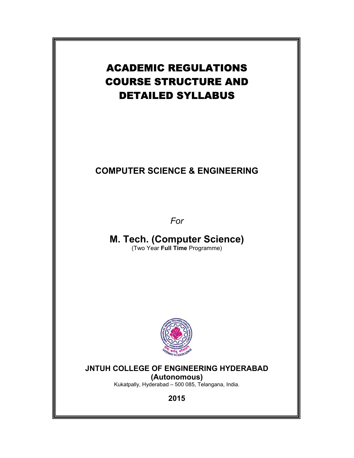# ACADEMIC REGULATIONS COURSE STRUCTURE AND DETAILED SYLLABUS

# **COMPUTER SCIENCE & ENGINEERING**

*For* 

**M. Tech. (Computer Science)**  (Two Year **Full Time** Programme)



# **JNTUH COLLEGE OF ENGINEERING HYDERABAD**

**(Autonomous)**

Kukatpally, Hyderabad – 500 085, Telangana, India.

**2015**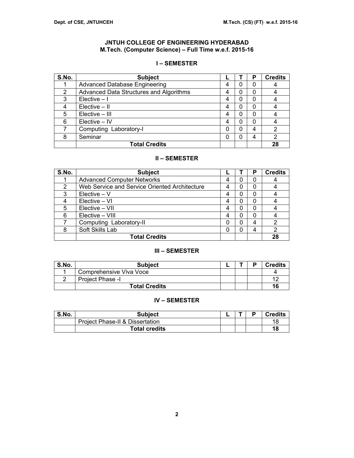# **JNTUH COLLEGE OF ENGINEERING HYDERABAD M.Tech. (Computer Science) – Full Time w.e.f. 2015-16**

# **I – SEMESTER**

| S.No.          | <b>Subject</b>                          |   | Р | <b>Credits</b> |
|----------------|-----------------------------------------|---|---|----------------|
|                | <b>Advanced Database Engineering</b>    | 4 | 0 |                |
| $\overline{2}$ | Advanced Data Structures and Algorithms | 4 | 0 |                |
| 3              | Elective $-1$                           | 4 | 0 |                |
|                | $Electric - II$                         |   | 0 |                |
| 5              | Elective - III                          |   | 0 |                |
| 6              | Elective - IV                           | 4 | 0 |                |
|                | Computing Laboratory-I                  |   | 4 | $\overline{2}$ |
| 8              | Seminar                                 |   | 4 | 2              |
|                | <b>Total Credits</b>                    |   |   | 28             |

# **II – SEMESTER**

| S.No. | <b>Subject</b>                                |   | Р | <b>Credits</b> |
|-------|-----------------------------------------------|---|---|----------------|
|       | <b>Advanced Computer Networks</b>             | 0 | 0 |                |
| 2     | Web Service and Service Oriented Architecture | 0 | 0 |                |
| 3     | $Electric - V$                                | 0 | 0 |                |
|       | Elective - VI                                 | 0 | 0 |                |
| 5     | Elective - VII                                | 0 | 0 |                |
| 6     | Elective - VIII                               | 0 | 0 |                |
|       | Computing Laboratory-II                       |   | 4 | 2              |
| 8     | Soft Skills Lab                               | 0 | 4 | 2              |
|       | <b>Total Credits</b>                          |   |   | 28             |

# **III – SEMESTER**

| S.No. | <b>Subject</b>          |  | D | <b>Credits</b>       |
|-------|-------------------------|--|---|----------------------|
|       | Comprehensive Viva Voce |  |   |                      |
|       | Project Phase -I        |  |   | $\ddot{\phantom{1}}$ |
|       | <b>Total Credits</b>    |  |   | 16                   |

# **IV – SEMESTER**

| S.No. | Subject                                    |  | <b>Credits</b> |
|-------|--------------------------------------------|--|----------------|
|       | <b>Project Phase-II &amp; Dissertation</b> |  | 18             |
|       | <b>Total credits</b>                       |  | 18             |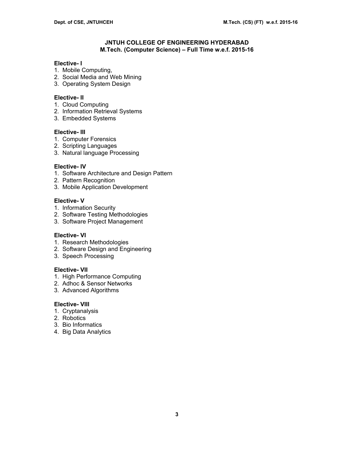# **JNTUH COLLEGE OF ENGINEERING HYDERABAD M.Tech. (Computer Science) – Full Time w.e.f. 2015-16**

### **Elective- I**

- 1. Mobile Computing,
- 2. Social Media and Web Mining
- 3. Operating System Design

### **Elective- II**

- 1. Cloud Computing
- 2. Information Retrieval Systems
- 3. Embedded Systems

# **Elective- III**

- 1. Computer Forensics
- 2. Scripting Languages
- 3. Natural language Processing

# **Elective- IV**

- 1. Software Architecture and Design Pattern
- 2. Pattern Recognition
- 3. Mobile Application Development

# **Elective- V**

- 1. Information Security
- 2. Software Testing Methodologies
- 3. Software Project Management

# **Elective- VI**

- 1. Research Methodologies
- 2. Software Design and Engineering
- 3. Speech Processing

# **Elective- VII**

- 1. High Performance Computing
- 2. Adhoc & Sensor Networks
- 3. Advanced Algorithms

### **Elective- VIII**

- 1. Cryptanalysis
- 2. Robotics
- 3. Bio Informatics
- 4. Big Data Analytics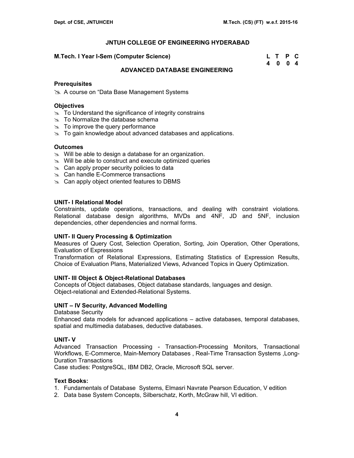**M.Tech. I Year I-Sem (Computer Science)** 

| M.Tech. I Year I-Sem (Computer Science) | L T P C |  |
|-----------------------------------------|---------|--|
|                                         | 4004    |  |

# **ADVANCED DATABASE ENGINEERING**

### **Prerequisites**

≥ A course on "Data Base Management Systems

### **Objectives**

- $\approx$  To Understand the significance of integrity constrains
- $\approx$  To Normalize the database schema
- $\approx$  To improve the query performance
- $\approx$  To gain knowledge about advanced databases and applications.

### **Outcomes**

- $\approx$  Will be able to design a database for an organization.
- $\infty$  Will be able to construct and execute optimized queries
- $\infty$  Can apply proper security policies to data
- $\approx$  Can handle E-Commerce transactions
- $\infty$  Can apply object oriented features to DBMS

# **UNIT- I Relational Model**

Constraints, update operations, transactions, and dealing with constraint violations. Relational database design algorithms, MVDs and 4NF, JD and 5NF, inclusion dependencies, other dependencies and normal forms.

# **UNIT- II Query Processing & Optimization**

Measures of Query Cost, Selection Operation, Sorting, Join Operation, Other Operations, Evaluation of Expressions

Transformation of Relational Expressions, Estimating Statistics of Expression Results, Choice of Evaluation Plans, Materialized Views, Advanced Topics in Query Optimization.

# **UNIT- III Object & Object-Relational Databases**

Concepts of Object databases, Object database standards, languages and design. Object-relational and Extended-Relational Systems.

# **UNIT – IV Security, Advanced Modelling**

Database Security

Enhanced data models for advanced applications – active databases, temporal databases, spatial and multimedia databases, deductive databases.

# **UNIT- V**

Advanced Transaction Processing - Transaction-Processing Monitors, Transactional Workflows, E-Commerce, Main-Memory Databases , Real-Time Transaction Systems ,Long-Duration Transactions

Case studies: PostgreSQL, IBM DB2, Oracle, Microsoft SQL server.

# **Text Books:**

- 1. Fundamentals of Database Systems, Elmasri Navrate Pearson Education, V edition
- 2. Data base System Concepts, Silberschatz, Korth, McGraw hill, VI edition.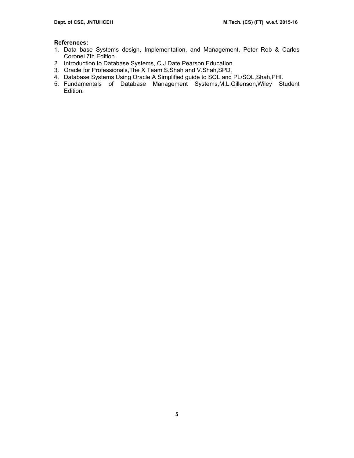# **References:**

- 1. Data base Systems design, Implementation, and Management, Peter Rob & Carlos Coronel 7th Edition.
- 2. Introduction to Database Systems, C.J.Date Pearson Education
- 3. Oracle for Professionals,The X Team,S.Shah and V.Shah,SPD.
- 4. Database Systems Using Oracle:A Simplified guide to SQL and PL/SQL,Shah,PHI.
- 5. Fundamentals of Database Management Systems,M.L.Gillenson,Wiley Student Edition.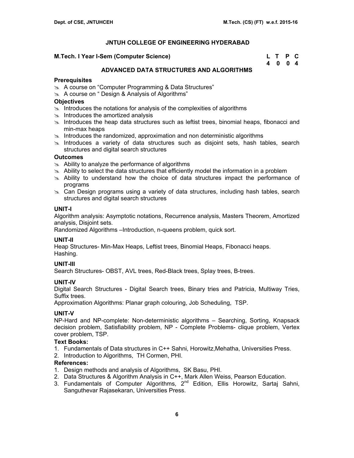#### **M.Tech. I Year I-Sem (Computer Science)**

| M.Tech. I Year I-Sem (Computer Science) | L T P C |  |
|-----------------------------------------|---------|--|
|                                         | 4 0 0 4 |  |

# **ADVANCED DATA STRUCTURES AND ALGORITHMS**

### **Prerequisites**

- im A course on "Computer Programming & Data Structures"
- $\&$  A course on " Design & Analysis of Algorithms"

# **Objectives**

- $\approx$  Introduces the notations for analysis of the complexities of algorithms
- $\approx$  Introduces the amortized analysis
- $\geq$  Introduces the heap data structures such as leftist trees, binomial heaps, fibonacci and min-max heaps
- $\infty$  Introduces the randomized, approximation and non deterministic algorithms
- $\infty$  Introduces a variety of data structures such as disjoint sets, hash tables, search structures and digital search structures

### **Outcomes**

- $\approx$  Ability to analyze the performance of algorithms
- $\geq$  Ability to select the data structures that efficiently model the information in a problem
- $\approx$  Ability to understand how the choice of data structures impact the performance of programs
- $\geq$  Can Design programs using a variety of data structures, including hash tables, search structures and digital search structures

### **UNIT-I**

Algorithm analysis: Asymptotic notations, Recurrence analysis, Masters Theorem, Amortized analysis, Disjoint sets.

Randomized Algorithms –Introduction, n-queens problem, quick sort.

# **UNIT-II**

Heap Structures- Min-Max Heaps, Leftist trees, Binomial Heaps, Fibonacci heaps. Hashing.

# **UNIT-III**

Search Structures- OBST, AVL trees, Red-Black trees, Splay trees, B-trees.

# **UNIT-IV**

Digital Search Structures - Digital Search trees, Binary tries and Patricia, Multiway Tries, Suffix trees.

Approximation Algorithms: Planar graph colouring, Job Scheduling, TSP.

# **UNIT-V**

NP-Hard and NP-complete: Non-deterministic algorithms – Searching, Sorting, Knapsack decision problem, Satisfiability problem, NP - Complete Problems- clique problem, Vertex cover problem, TSP.

# **Text Books:**

- 1. Fundamentals of Data structures in C++ Sahni, Horowitz,Mehatha, Universities Press.
- 2. Introduction to Algorithms, TH Cormen, PHI.

# **References:**

- 1. Design methods and analysis of Algorithms, SK Basu, PHI.
- 2. Data Structures & Algorithm Analysis in C++, Mark Allen Weiss, Pearson Education.
- 3. Fundamentals of Computer Algorithms,  $2<sup>nd</sup>$  Edition, Ellis Horowitz, Sartaj Sahni, Sanguthevar Rajasekaran, Universities Press.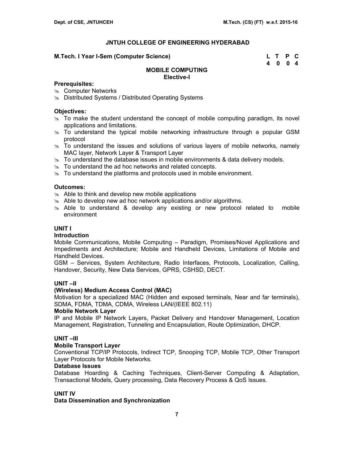# **M.Tech. I Year I-Sem (Computer Science)**

| M.Tech. I Year I-Sem (Computer Science) | L T P C |  |
|-----------------------------------------|---------|--|
|                                         | 4 0 0 4 |  |

# **MOBILE COMPUTING Elective-I**

### **Prerequisites:**

- $\infty$  Computer Networks
- **EX** Distributed Systems / Distributed Operating Systems

# **Objectives:**

- $\geq$  To make the student understand the concept of mobile computing paradigm, its novel applications and limitations.
- $\approx$  To understand the typical mobile networking infrastructure through a popular GSM protocol
- $\geq$  To understand the issues and solutions of various layers of mobile networks, namely MAC layer, Network Layer & Transport Layer
- $\infty$  To understand the database issues in mobile environments & data delivery models.
- $\approx$  To understand the ad hoc networks and related concepts.
- $\approx$  To understand the platforms and protocols used in mobile environment.

# **Outcomes:**

- $\approx$  Able to think and develop new mobile applications
- $\approx$  Able to develop new ad hoc network applications and/or algorithms.
- $\infty$  Able to understand & develop any existing or new protocol related to mobile environment

# **UNIT I**

# **Introduction**

Mobile Communications, Mobile Computing – Paradigm, Promises/Novel Applications and Impediments and Architecture; Mobile and Handheld Devices, Limitations of Mobile and Handheld Devices.

GSM – Services, System Architecture, Radio Interfaces, Protocols, Localization, Calling, Handover, Security, New Data Services, GPRS, CSHSD, DECT.

# **UNIT –II**

# **(Wireless) Medium Access Control (MAC)**

Motivation for a specialized MAC (Hidden and exposed terminals, Near and far terminals), SDMA, FDMA, TDMA, CDMA, Wireless LAN/(IEEE 802.11)

# **Mobile Network Layer**

IP and Mobile IP Network Layers, Packet Delivery and Handover Management, Location Management, Registration, Tunneling and Encapsulation, Route Optimization, DHCP.

# **UNIT –III**

# **Mobile Transport Layer**

Conventional TCP/IP Protocols, Indirect TCP, Snooping TCP, Mobile TCP, Other Transport Layer Protocols for Mobile Networks.

# **Database Issues**

Database Hoarding & Caching Techniques, Client-Server Computing & Adaptation, Transactional Models, Query processing, Data Recovery Process & QoS Issues.

# **UNIT IV**

# **Data Dissemination and Synchronization**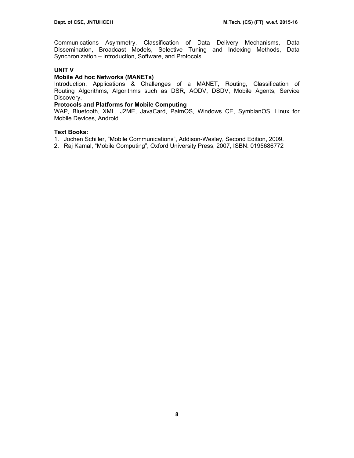Communications Asymmetry, Classification of Data Delivery Mechanisms, Data Dissemination, Broadcast Models, Selective Tuning and Indexing Methods, Data Synchronization – Introduction, Software, and Protocols

# **UNIT V**

# **Mobile Ad hoc Networks (MANETs)**

Introduction, Applications & Challenges of a MANET, Routing, Classification of Routing Algorithms, Algorithms such as DSR, AODV, DSDV, Mobile Agents, Service Discovery.

# **Protocols and Platforms for Mobile Computing**

WAP, Bluetooth, XML, J2ME, JavaCard, PalmOS, Windows CE, SymbianOS, Linux for Mobile Devices, Android.

# **Text Books:**

- 1. Jochen Schiller, "Mobile Communications", Addison-Wesley, Second Edition, 2009.
- 2. Raj Kamal, "Mobile Computing", Oxford University Press, 2007, ISBN: 0195686772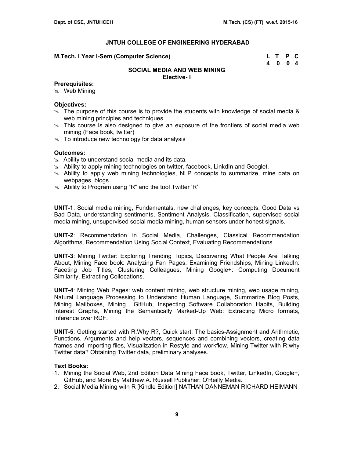#### **M.Tech. I Year I-Sem (Computer Science)**

| M.Tech. I Year I-Sem (Computer Science) | L T P C |  |
|-----------------------------------------|---------|--|
|                                         | 4 0 0 4 |  |

#### **SOCIAL MEDIA AND WEB MINING Elective- I**

#### **Prerequisites:**

 $\infty$  Web Mining

# **Objectives:**

- $\ge$  The purpose of this course is to provide the students with knowledge of social media & web mining principles and techniques.
- $\approx$  This course is also designed to give an exposure of the frontiers of social media web mining (Face book, twitter)
- $\geq$  To introduce new technology for data analysis

# **Outcomes:**

- $\approx$  Ability to understand social media and its data.
- $\approx$  Ability to apply mining technologies on twitter, facebook, LinkdIn and Googlet.
- $\approx$  Ability to apply web mining technologies, NLP concepts to summarize, mine data on webpages, blogs.
- $\infty$  Ability to Program using "R" and the tool Twitter 'R'

**UNIT-1**: Social media mining, Fundamentals, new challenges, key concepts, Good Data vs Bad Data, understanding sentiments, Sentiment Analysis, Classification, supervised social media mining, unsupervised social media mining, human sensors under honest signals.

**UNIT-2**: Recommendation in Social Media, Challenges, Classical Recommendation Algorithms, Recommendation Using Social Context, Evaluating Recommendations.

**UNIT-3**: Mining Twitter: Exploring Trending Topics, Discovering What People Are Talking About, Mining Face book: Analyzing Fan Pages, Examining Friendships, Mining LinkedIn: Faceting Job Titles, Clustering Colleagues, Mining Google+: Computing Document Similarity, Extracting Collocations.

**UNIT-4**: Mining Web Pages: web content mining, web structure mining, web usage mining, Natural Language Processing to Understand Human Language, Summarize Blog Posts, Mining Mailboxes, Mining GitHub, Inspecting Software Collaboration Habits, Building Interest Graphs, Mining the Semantically Marked-Up Web: Extracting Micro formats, Inference over RDF.

**UNIT-5**: Getting started with R:Why R?, Quick start, The basics-Assignment and Arithmetic, Functions, Arguments and help vectors, sequences and combining vectors, creating data frames and importing files, Visualization in Restyle and workflow, Mining Twitter with R:why Twitter data? Obtaining Twitter data, preliminary analyses.

#### **Text Books:**

- 1. Mining the Social Web, 2nd Edition Data Mining Face book, Twitter, LinkedIn, Google+, GitHub, and More By Matthew A. Russell Publisher: O'Reilly Media.
- 2. Social Media Mining with R [Kindle Edition] NATHAN DANNEMAN RICHARD HEIMANN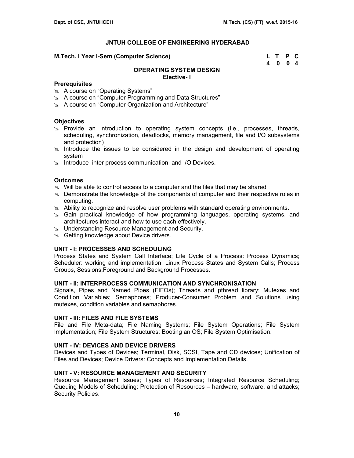#### **M.Tech. I Year I-Sem (Computer Science)**

| M.Tech. I Year I-Sem (Computer Science) | L T P C |  |
|-----------------------------------------|---------|--|
|                                         | 4 0 0 4 |  |

### **OPERATING SYSTEM DESIGN Elective- I**

### **Prerequisites**

- **A course on "Operating Systems"**
- 8 A course on "Computer Programming and Data Structures"
- **A course on "Computer Organization and Architecture"**

### **Objectives**

- $\infty$  Provide an introduction to operating system concepts (i.e., processes, threads, scheduling, synchronization, deadlocks, memory management, file and I/O subsystems and protection)
- $\ge$  Introduce the issues to be considered in the design and development of operating system
- $\approx$  Introduce inter process communication and I/O Devices.

### **Outcomes**

- $\infty$  Will be able to control access to a computer and the files that may be shared
- $\infty$  Demonstrate the knowledge of the components of computer and their respective roles in computing.
- $\approx$  Ability to recognize and resolve user problems with standard operating environments.
- $\approx$  Gain practical knowledge of how programming languages, operating systems, and architectures interact and how to use each effectively.
- $\infty$  Understanding Resource Management and Security.
- Sometting knowledge about Device drivers.

#### **UNIT - I: PROCESSES AND SCHEDULING**

Process States and System Call Interface; Life Cycle of a Process: Process Dynamics; Scheduler: working and implementation; Linux Process States and System Calls; Process Groups, Sessions,Foreground and Background Processes.

### **UNIT - II: INTERPROCESS COMMUNICATION AND SYNCHRONISATION**

Signals, Pipes and Named Pipes (FIFOs); Threads and pthread library; Mutexes and Condition Variables; Semaphores; Producer-Consumer Problem and Solutions using mutexes, condition variables and semaphores.

# **UNIT - III: FILES AND FILE SYSTEMS**

File and File Meta-data; File Naming Systems; File System Operations; File System Implementation; File System Structures; Booting an OS; File System Optimisation.

# **UNIT - IV: DEVICES AND DEVICE DRIVERS**

Devices and Types of Devices; Terminal, Disk, SCSI, Tape and CD devices; Unification of Files and Devices; Device Drivers: Concepts and Implementation Details.

# **UNIT - V: RESOURCE MANAGEMENT AND SECURITY**

Resource Management Issues; Types of Resources; Integrated Resource Scheduling; Queuing Models of Scheduling; Protection of Resources – hardware, software, and attacks; Security Policies.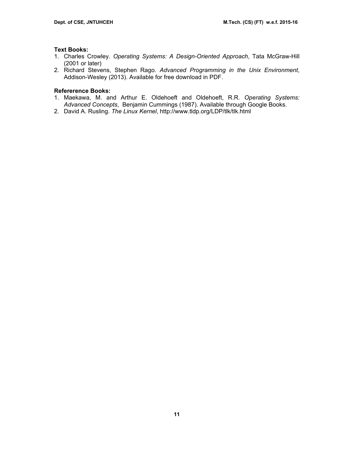### **Text Books:**

- 1. Charles Crowley. *Operating Systems: A Design-Oriented Approach*, Tata McGraw-Hill (2001 or later)
- 2. Richard Stevens, Stephen Rago. *Advanced Programming in the Unix Environment*, Addison-Wesley (2013). Available for free download in PDF.

# **Refererence Books:**

- 1. Maekawa, M. and Arthur E. Oldehoeft and Oldehoeft, R.R. *Operating Systems: Advanced Concepts*, Benjamin Cummings (1987). Available through Google Books.
- 2. David A. Rusling. *The Linux Kernel*, http://www.tldp.org/LDP/tlk/tlk.html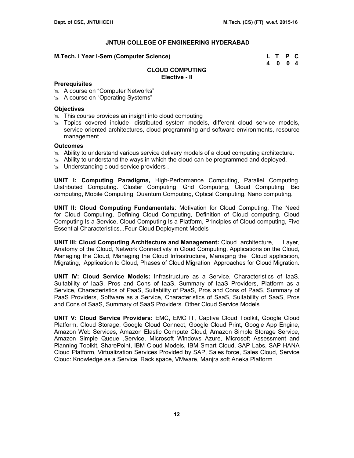#### **M.Tech. I Year I-Sem (Computer Science)**

| M.Tech. I Year I-Sem (Computer Science) | L T P C |  |
|-----------------------------------------|---------|--|
|                                         | 4 0 0 4 |  |

### **CLOUD COMPUTING Elective - II**

### **Prerequisites**

- **A course on "Computer Networks"**
- $\approx$  A course on "Operating Systems"

### **Objectives**

- $\approx$  This course provides an insight into cloud computing
- $\infty$  Topics covered include- distributed system models, different cloud service models, service oriented architectures, cloud programming and software environments, resource management.

### **Outcomes**

- $\geq$  Ability to understand various service delivery models of a cloud computing architecture.
- $\geq$  Ability to understand the ways in which the cloud can be programmed and deployed.
- $\infty$  Understanding cloud service providers.

**UNIT I: Computing Paradigms,** High-Performance Computing, Parallel Computing. Distributed Computing. Cluster Computing. Grid Computing, Cloud Computing. Bio computing, Mobile Computing. Quantum Computing, Optical Computing. Nano computing.

**UNIT II: Cloud Computing Fundamentals**: Motivation for Cloud Computing, The Need for Cloud Computing, Defining Cloud Computing, Definition of Cloud computing, Cloud Computing Is a Service, Cloud Computing Is a Platform, Principles of Cloud computing, Five Essential Characteristics...Four Cloud Deployment Models

**UNIT III: Cloud Computing Architecture and Management:** Cloud architecture, Layer, Anatomy of the Cloud, Network Connectivity in Cloud Computing, Applications on the Cloud, Managing the Cloud, Managing the Cloud Infrastructure, Managing the Cloud application, Migrating, Application to Cloud, Phases of Cloud Migration Approaches for Cloud Migration.

**UNIT IV: Cloud Service Models:** Infrastructure as a Service, Characteristics of IaaS. Suitability of IaaS, Pros and Cons of IaaS, Summary of IaaS Providers, Platform as a Service, Characteristics of PaaS, Suitability of PaaS, Pros and Cons of PaaS, Summary of PaaS Providers, Software as a Service, Characteristics of SaaS, Suitability of SaaS, Pros and Cons of SaaS, Summary of SaaS Providers. Other Cloud Service Models

**UNIT V: Cloud Service Providers:** EMC, EMC IT, Captiva Cloud Toolkit, Google Cloud Platform, Cloud Storage, Google Cloud Connect, Google Cloud Print, Google App Engine, Amazon Web Services, Amazon Elastic Compute Cloud, Amazon Simple Storage Service, Amazon Simple Queue ,Service, Microsoft Windows Azure, Microsoft Assessment and Planning Toolkit, SharePoint, IBM Cloud Models, IBM Smart Cloud, SAP Labs, SAP HANA Cloud Platform, Virtualization Services Provided by SAP, Sales force, Sales Cloud, Service Cloud: Knowledge as a Service, Rack space, VMware, Manjra soft Aneka Platform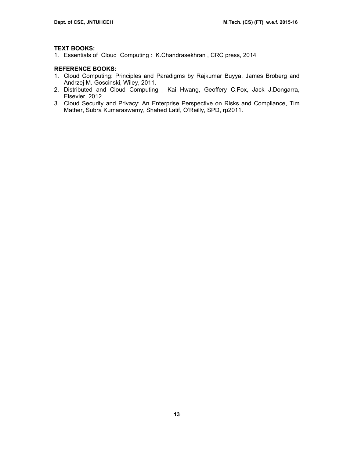### **TEXT BOOKS:**

1. Essentials of Cloud Computing : K.Chandrasekhran , CRC press, 2014

# **REFERENCE BOOKS:**

- 1. Cloud Computing: Principles and Paradigms by Rajkumar Buyya, James Broberg and Andrzej M. Goscinski, Wiley, 2011.
- 2. Distributed and Cloud Computing , Kai Hwang, Geoffery C.Fox, Jack J.Dongarra, Elsevier, 2012.
- 3. Cloud Security and Privacy: An Enterprise Perspective on Risks and Compliance, Tim Mather, Subra Kumaraswamy, Shahed Latif, O'Reilly, SPD, rp2011.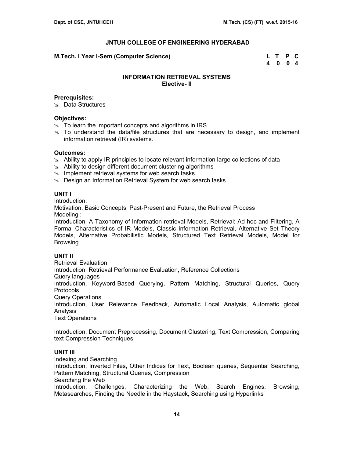### **M.Tech. I Year I-Sem (Computer Science) L T P C**

 **4 0 0 4** 

# **INFORMATION RETRIEVAL SYSTEMS Elective- II**

### **Prerequisites:**

**&** Data Structures

### **Objectives:**

- $\approx$  To learn the important concepts and algorithms in IRS
- $\infty$  To understand the data/file structures that are necessary to design, and implement information retrieval (IR) systems.

# **Outcomes:**

- $\approx$  Ability to apply IR principles to locate relevant information large collections of data
- $\approx$  Ability to design different document clustering algorithms
- $\approx$  Implement retrieval systems for web search tasks.
- $\approx$  Design an Information Retrieval System for web search tasks.

### **UNIT I**

Introduction:

Motivation, Basic Concepts, Past-Present and Future, the Retrieval Process Modeling :

Introduction, A Taxonomy of Information retrieval Models, Retrieval: Ad hoc and Filtering, A Formal Characteristics of IR Models, Classic Information Retrieval, Alternative Set Theory Models, Alternative Probabilistic Models, Structured Text Retrieval Models, Model for Browsing

# **UNIT II**

Retrieval Evaluation

Introduction, Retrieval Performance Evaluation, Reference Collections

Query languages

Introduction, Keyword-Based Querying, Pattern Matching, Structural Queries, Query Protocols

Query Operations

Introduction, User Relevance Feedback, Automatic Local Analysis, Automatic global **Analysis** 

Text Operations

Introduction, Document Preprocessing, Document Clustering, Text Compression, Comparing text Compression Techniques

# **UNIT III**

Indexing and Searching Introduction, Inverted Files, Other Indices for Text, Boolean queries, Sequential Searching, Pattern Matching, Structural Queries, Compression Searching the Web Introduction, Challenges, Characterizing the Web, Search Engines, Browsing, Metasearches, Finding the Needle in the Haystack, Searching using Hyperlinks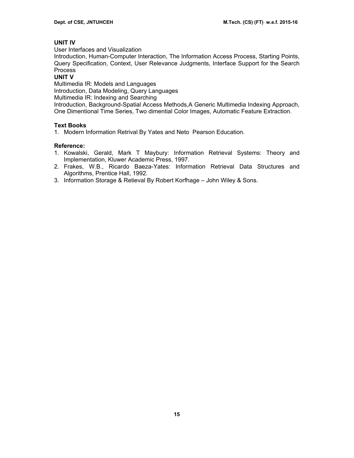# **UNIT IV**

User Interfaces and Visualization

Introduction, Human-Computer Interaction, The Information Access Process, Starting Points, Query Specification, Context, User Relevance Judgments, Interface Support for the Search Process

# **UNIT V**

Multimedia IR: Models and Languages

Introduction, Data Modeling, Query Languages

Multimedia IR: Indexing and Searching

Introduction, Background-Spatial Access Methods,A Generic Multimedia Indexing Approach, One Dimentional Time Series, Two dimential Color Images, Automatic Feature Extraction.

# **Text Books**

1. Modern Information Retrival By Yates and Neto Pearson Education.

# **Reference:**

- 1. Kowalski, Gerald, Mark T Maybury: Information Retrieval Systems: Theory and Implementation, Kluwer Academic Press, 1997.
- 2. Frakes, W.B., Ricardo Baeza-Yates: Information Retrieval Data Structures and Algorithms, Prentice Hall, 1992.
- 3. Information Storage & Retieval By Robert Korfhage John Wiley & Sons.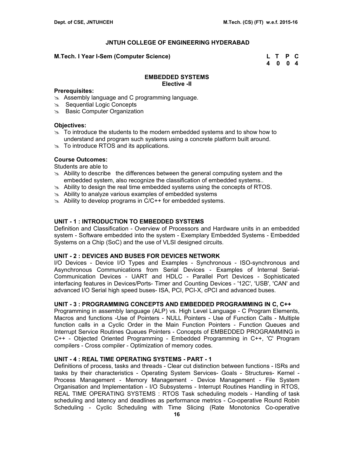### **M.Tech. I Year I-Sem (Computer Science) L T P C**

 **4 0 0 4** 

### **EMBEDDED SYSTEMS Elective -II**

### **Prerequisites:**

- $\approx$  Assembly language and C programming language.
- Sequential Logic Concepts
- **EXECOMPUTER DEPAINING BASIC COMPUTER ORGANIZATION**

### **Objectives:**

- $\geq$  To introduce the students to the modern embedded systems and to show how to understand and program such systems using a concrete platform built around.
- $\approx$  To introduce RTOS and its applications.

# **Course Outcomes:**

Students are able to

- $\infty$  Ability to describe the differences between the general computing system and the embedded system, also recognize the classification of embedded systems..
- $\approx$  Ability to design the real time embedded systems using the concepts of RTOS.
- $\approx$  Ability to analyze various examples of embedded systems
- $\approx$  Ability to develop programs in C/C++ for embedded systems.

# **UNIT - 1 : INTRODUCTION TO EMBEDDED SYSTEMS**

Definition and Classification - Overview of Processors and Hardware units in an embedded system - Software embedded into the system - Exemplary Embedded Systems - Embedded Systems on a Chip (SoC) and the use of VLSI designed circuits.

# **UNIT - 2 : DEVICES AND BUSES FOR DEVICES NETWORK**

I/O Devices - Device I/O Types and Examples - Synchronous - ISO-synchronous and Asynchronous Communications from Serial Devices - Examples of Internal Serial-Communication Devices - UART and HDLC - Parallel Port Devices - Sophisticated interfacing features in Devices/Ports- Timer and Counting Devices - '12C', 'USB', 'CAN' and advanced I/O Serial high speed buses- ISA, PCI, PCI-X, cPCI and advanced buses.

# **UNIT - 3 : PROGRAMMING CONCEPTS AND EMBEDDED PROGRAMMING IN C, C++**

Programming in assembly language (ALP) vs. High Level Language - C Program Elements, Macros and functions -Use of Pointers - NULL Pointers - Use of Function Calls - Multiple function calls in a Cyclic Order in the Main Function Pointers - Function Queues and Interrupt Service Routines Queues Pointers - Concepts of EMBEDDED PROGRAMMING in C++ - Objected Oriented Programming - Embedded Programming in C++, 'C' Program compilers - Cross compiler - Optimization of memory codes.

# **UNIT - 4 : REAL TIME OPERATING SYSTEMS - PART - 1**

Definitions of process, tasks and threads - Clear cut distinction between functions - ISRs and tasks by their characteristics - Operating System Services- Goals - Structures- Kernel - Process Management - Memory Management - Device Management - File System Organisation and Implementation - I/O Subsystems - Interrupt Routines Handling in RTOS, REAL TIME OPERATING SYSTEMS : RTOS Task scheduling models - Handling of task scheduling and latency and deadlines as performance metrics - Co-operative Round Robin Scheduling - Cyclic Scheduling with Time Slicing (Rate Monotonics Co-operative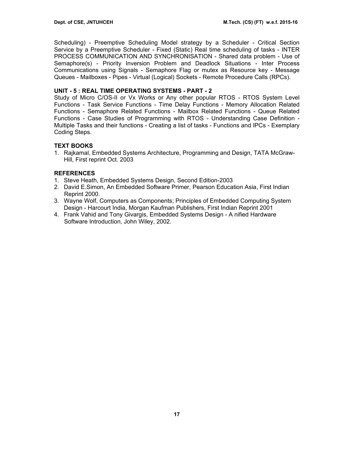Scheduling) - Preemptive Scheduling Model strategy by a Scheduler - Critical Section Service by a Preemptive Scheduler - Fixed (Static) Real time scheduling of tasks - INTER PROCESS COMMUNICATION AND SYNCHRONISATION - Shared data problem - Use of Semaphore(s) - Priority Inversion Problem and Deadlock Situations - Inter Process Communications using Signals - Semaphore Flag or mutex as Resource key - Message Queues - Mailboxes - Pipes - Virtual (Logical) Sockets - Remote Procedure Calls (RPCs).

# **UNIT - 5 : REAL TIME OPERATING SYSTEMS - PART - 2**

Study of Micro C/OS-II or Vx Works or Any other popular RTOS - RTOS System Level Functions - Task Service Functions - Time Delay Functions - Memory Allocation Related Functions - Semaphore Related Functions - Mailbox Related Functions - Queue Related Functions - Case Studies of Programming with RTOS - Understanding Case Definition - Multiple Tasks and their functions - Creating a list of tasks - Functions and IPCs - Exemplary Coding Steps.

# **TEXT BOOKS**

1. Rajkamal, Embedded Systems Architecture, Programming and Design, TATA McGraw-Hill, First reprint Oct. 2003

# **REFERENCES**

- 1. Steve Heath, Embedded Systems Design, Second Edition-2003
- 2. David E.Simon, An Embedded Software Primer, Pearson Education Asia, First Indian Reprint 2000.
- 3. Wayne Wolf, Computers as Components; Principles of Embedded Computing System Design - Harcourt India, Morgan Kaufman Publishers, First Indian Reprint 2001
- 4. Frank Vahid and Tony Givargis, Embedded Systems Design A nified Hardware Software Introduction, John Wiley, 2002.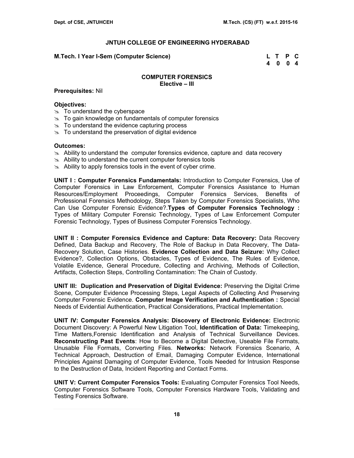### **M.Tech. I Year I-Sem (Computer Science) L T P C**

 **4 0 0 4** 

### **COMPUTER FORENSICS Elective – III**

### **Prerequisites:** Nil

# **Objectives:**

- $\approx$  To understand the cyberspace
- $\approx$  To gain knowledge on fundamentals of computer forensics
- $\infty$  To understand the evidence capturing process
- $\infty$  To understand the preservation of digital evidence

### **Outcomes:**

- $\geq$  Ability to understand the computer forensics evidence, capture and data recovery
- $\approx$  Ability to understand the current computer forensics tools
- $\approx$  Ability to apply forensics tools in the event of cyber crime.

**UNIT I : Computer Forensics Fundamentals:** Introduction to Computer Forensics, Use of Computer Forensics in Law Enforcement, Computer Forensics Assistance to Human Resources/Employment Proceedings, Computer Forensics Services, Benefits of Professional Forensics Methodology, Steps Taken by Computer Forensics Specialists, Who Can Use Computer Forensic Evidence?.**Types of Computer Forensics Technology :**  Types of Military Computer Forensic Technology, Types of Law Enforcement Computer Forensic Technology, Types of Business Computer Forensics Technology.

**UNIT II : Computer Forensics Evidence and Capture: Data Recovery:** Data Recovery Defined, Data Backup and Recovery, The Role of Backup in Data Recovery, The Data-Recovery Solution, Case Histories. **Evidence Collection and Data Seizure:** Why Collect Evidence?, Collection Options, Obstacles, Types of Evidence, The Rules of Evidence, Volatile Evidence, General Procedure, Collecting and Archiving, Methods of Collection, Artifacts, Collection Steps, Controlling Contamination: The Chain of Custody.

**UNIT III: Duplication and Preservation of Digital Evidence:** Preserving the Digital Crime Scene, Computer Evidence Processing Steps, Legal Aspects of Collecting And Preserving Computer Forensic Evidence. **Computer Image Verification and Authentication :** Special Needs of Evidential Authentication, Practical Considerations, Practical Implementation.

**UNIT IV: Computer Forensics Analysis: Discovery of Electronic Evidence:** Electronic Document Discovery: A Powerful New Litigation Tool, **Identification of Data:** Timekeeping, Time Matters,Forensic Identification and Analysis of Technical Surveillance Devices. **Reconstructing Past Events**: How to Become a Digital Detective, Useable File Formats, Unusable File Formats, Converting Files. **Networks:** Network Forensics Scenario, A Technical Approach, Destruction of Email, Damaging Computer Evidence, International Principles Against Damaging of Computer Evidence, Tools Needed for Intrusion Response to the Destruction of Data, Incident Reporting and Contact Forms.

**UNIT V: Current Computer Forensics Tools:** Evaluating Computer Forensics Tool Needs, Computer Forensics Software Tools, Computer Forensics Hardware Tools, Validating and Testing Forensics Software.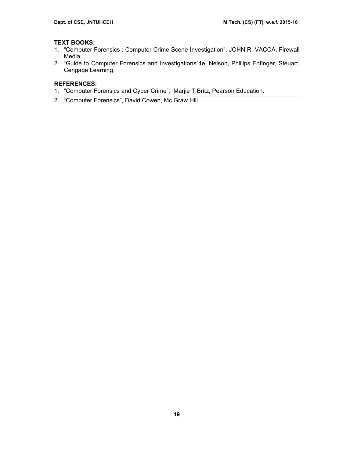# **TEXT BOOKS:**

- 1. "Computer Forensics : Computer Crime Scene Investigation", JOHN R. VACCA, Firewall Media.
- 2. "Guide to Computer Forensics and Investigations"4e, Nelson, Phillips Enfinger, Steuart, Cengage Learning.

# **REFERENCES:**

- 1. "Computer Forensics and Cyber Crime", Marjie T Britz, Pearson Education.
- 2. "Computer Forensics", David Cowen, Mc Graw Hill.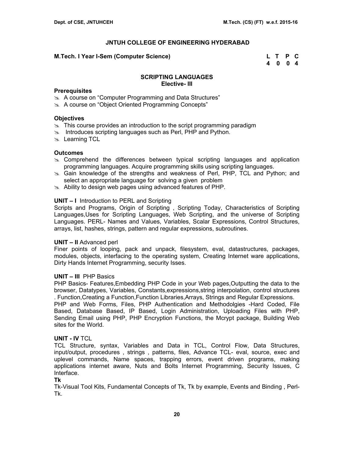### **M.Tech. I Year I-Sem (Computer Science) L T P C**

 **4 0 0 4** 

# **SCRIPTING LANGUAGES Elective- III**

### **Prerequisites**

- $\approx$  A course on "Computer Programming and Data Structures"
- **A course on "Object Oriented Programming Concepts"**

### **Objectives**

- $\approx$  This course provides an introduction to the script programming paradigm
- $\infty$  Introduces scripting languages such as Perl, PHP and Python.
- $\approx$  Learning TCL

### **Outcomes**

- $\infty$  Comprehend the differences between typical scripting languages and application programming languages. Acquire programming skills using scripting languages.
- 8 Gain knowledge of the strengths and weakness of Perl, PHP, TCL and Python; and select an appropriate language for solving a given problem
- $\approx$  Ability to design web pages using advanced features of PHP.

# **UNIT – I** Introduction to PERL and Scripting

Scripts and Programs, Origin of Scripting , Scripting Today, Characteristics of Scripting Languages,Uses for Scripting Languages, Web Scripting, and the universe of Scripting Languages. PERL- Names and Values, Variables, Scalar Expressions, Control Structures, arrays, list, hashes, strings, pattern and regular expressions, subroutines.

### **UNIT – II** Advanced perl

Finer points of looping, pack and unpack, filesystem, eval, datastructures, packages, modules, objects, interfacing to the operating system, Creating Internet ware applications, Dirty Hands Internet Programming, security Isses.

# **UNIT – III** PHP Basics

PHP Basics- Features,Embedding PHP Code in your Web pages,Outputting the data to the browser, Datatypes, Variables, Constants,expressions,string interpolation, control structures . Function,Creating a Function,Function Libraries,Arrays, Strings and Regular Expressions. PHP and Web Forms, Files, PHP Authentication and Methodolgies -Hard Coded, File Based, Database Based, IP Based, Login Administration, Uploading Files with PHP, Sending Email using PHP, PHP Encryption Functions, the Mcrypt package, Building Web sites for the World.

# **UNIT - IV** TCL

TCL Structure, syntax, Variables and Data in TCL, Control Flow, Data Structures, input/output, procedures , strings , patterns, files, Advance TCL- eval, source, exec and uplevel commands, Name spaces, trapping errors, event driven programs, making applications internet aware, Nuts and Bolts Internet Programming, Security Issues, C Interface.

#### **Tk**

Tk-Visual Tool Kits, Fundamental Concepts of Tk, Tk by example, Events and Binding , Perl-Tk.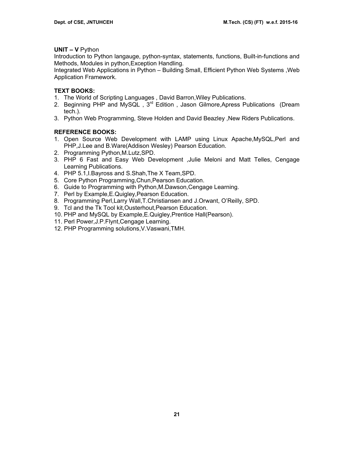# **UNIT – V** Python

Introduction to Python langauge, python-syntax, statements, functions, Built-in-functions and Methods, Modules in python,Exception Handling.

Integrated Web Applications in Python – Building Small, Efficient Python Web Systems ,Web Application Framework.

# **TEXT BOOKS:**

- 1. The World of Scripting Languages , David Barron,Wiley Publications.
- 2. Beginning PHP and MySQL, 3<sup>rd</sup> Edition, Jason Gilmore, Apress Publications (Dream tech.).
- 3. Python Web Programming, Steve Holden and David Beazley ,New Riders Publications.

# **REFERENCE BOOKS:**

- 1. Open Source Web Development with LAMP using Linux Apache,MySQL,Perl and PHP,J.Lee and B.Ware(Addison Wesley) Pearson Education.
- 2. Programming Python,M.Lutz,SPD.
- 3. PHP 6 Fast and Easy Web Development ,Julie Meloni and Matt Telles, Cengage Learning Publications.
- 4. PHP 5.1,I.Bayross and S.Shah,The X Team,SPD.
- 5. Core Python Programming,Chun,Pearson Education.
- 6. Guide to Programming with Python,M.Dawson,Cengage Learning.
- 7. Perl by Example,E.Quigley,Pearson Education.
- 8. Programming Perl,Larry Wall,T.Christiansen and J.Orwant, O'Reilly, SPD.
- 9. Tcl and the Tk Tool kit,Ousterhout,Pearson Education.
- 10. PHP and MySQL by Example,E.Quigley,Prentice Hall(Pearson).
- 11. Perl Power,J.P.Flynt,Cengage Learning.
- 12. PHP Programming solutions,V.Vaswani,TMH.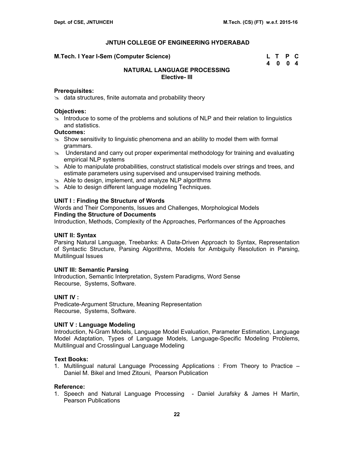| M.Tech. I Year I-Sem (Computer Science) | L T P C |  |
|-----------------------------------------|---------|--|
|                                         | 4 0 0 4 |  |

# **NATURAL LANGUAGE PROCESSING Elective- III**

# **Prerequisites:**

 $\approx$  data structures, finite automata and probability theory

### **Objectives:**

 $\geq$  Introduce to some of the problems and solutions of NLP and their relation to linguistics and statistics.

#### **Outcomes:**

- $\geq$  Show sensitivity to linguistic phenomena and an ability to model them with formal grammars.
- $\infty$  Understand and carry out proper experimental methodology for training and evaluating empirical NLP systems
- $\infty$  Able to manipulate probabilities, construct statistical models over strings and trees, and estimate parameters using supervised and unsupervised training methods.
- $\approx$  Able to design, implement, and analyze NLP algorithms
- $\approx$  Able to design different language modeling Techniques.

### **UNIT I : Finding the Structure of Words**

Words and Their Components, Issues and Challenges, Morphological Models **Finding the Structure of Documents** 

Introduction, Methods, Complexity of the Approaches, Performances of the Approaches

# **UNIT II: Syntax**

Parsing Natural Language, Treebanks: A Data-Driven Approach to Syntax, Representation of Syntactic Structure, Parsing Algorithms, Models for Ambiguity Resolution in Parsing, Multilingual Issues

#### **UNIT III: Semantic Parsing**

Introduction, Semantic Interpretation, System Paradigms, Word Sense Recourse, Systems, Software.

# **UNIT IV :**

Predicate-Argument Structure, Meaning Representation Recourse, Systems, Software.

#### **UNIT V : Language Modeling**

Introduction, N-Gram Models, Language Model Evaluation, Parameter Estimation, Language Model Adaptation, Types of Language Models, Language-Specific Modeling Problems, Multilingual and Crosslingual Language Modeling

# **Text Books:**

1. Multilingual natural Language Processing Applications : From Theory to Practice – Daniel M. Bikel and Imed Zitouni, Pearson Publication

# **Reference:**

1. Speech and Natural Language Processing - Daniel Jurafsky & James H Martin, Pearson Publications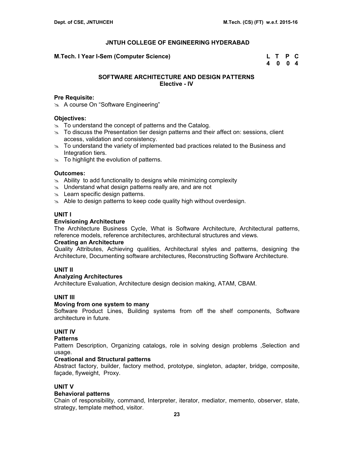**M.Tech. I Year I-Sem (Computer Science)** 

| M.Tech. I Year I-Sem (Computer Science) | L T P C |  |
|-----------------------------------------|---------|--|
|                                         | 4 0 0 4 |  |

# **SOFTWARE ARCHITECTURE AND DESIGN PATTERNS Elective - IV**

#### **Pre Requisite:**

\* A course On "Software Engineering"

### **Objectives:**

- $\infty$  To understand the concept of patterns and the Catalog.
- $\infty$  To discuss the Presentation tier design patterns and their affect on: sessions, client access, validation and consistency.
- $\geq$  To understand the variety of implemented bad practices related to the Business and Integration tiers.
- $\infty$  To highlight the evolution of patterns.

#### **Outcomes:**

- $\approx$  Ability to add functionality to designs while minimizing complexity
- $\approx$  Understand what design patterns really are, and are not
- $\approx$  Learn specific design patterns.
- $\approx$  Able to design patterns to keep code quality high without overdesign.

### **UNIT I**

### **Envisioning Architecture**

The Architecture Business Cycle, What is Software Architecture, Architectural patterns, reference models, reference architectures, architectural structures and views.

#### **Creating an Architecture**

Quality Attributes, Achieving qualities, Architectural styles and patterns, designing the Architecture, Documenting software architectures, Reconstructing Software Architecture.

### **UNIT II**

# **Analyzing Architectures**

Architecture Evaluation, Architecture design decision making, ATAM, CBAM.

# **UNIT III**

#### **Moving from one system to many**

Software Product Lines, Building systems from off the shelf components, Software architecture in future.

# **UNIT IV**

# **Patterns**

Pattern Description, Organizing catalogs, role in solving design problems ,Selection and usage.

### **Creational and Structural patterns**

Abstract factory, builder, factory method, prototype, singleton, adapter, bridge, composite, façade, flyweight, Proxy.

#### **UNIT V**

### **Behavioral patterns**

Chain of responsibility, command, Interpreter, iterator, mediator, memento, observer, state, strategy, template method, visitor.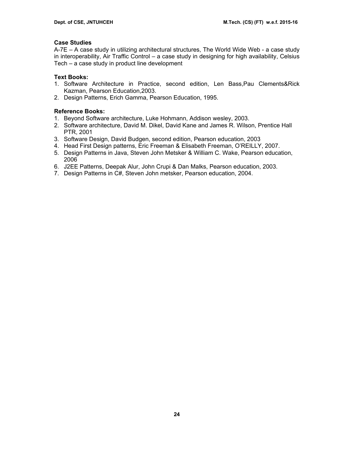# **Case Studies**

A-7E – A case study in utilizing architectural structures, The World Wide Web - a case study in interoperability, Air Traffic Control – a case study in designing for high availability, Celsius Tech – a case study in product line development

# **Text Books:**

- 1. Software Architecture in Practice, second edition, Len Bass,Pau Clements&Rick Kazman, Pearson Education,2003.
- 2. Design Patterns, Erich Gamma, Pearson Education, 1995.

# **Reference Books:**

- 1. Beyond Software architecture, Luke Hohmann, Addison wesley, 2003.
- 2. Software architecture, David M. Dikel, David Kane and James R. Wilson, Prentice Hall PTR, 2001
- 3. Software Design, David Budgen, second edition, Pearson education, 2003
- 4. Head First Design patterns, Eric Freeman & Elisabeth Freeman, O'REILLY, 2007.
- 5. Design Patterns in Java, Steven John Metsker & William C. Wake, Pearson education, 2006
- 6. J2EE Patterns, Deepak Alur, John Crupi & Dan Malks, Pearson education, 2003.
- 7. Design Patterns in C#, Steven John metsker, Pearson education, 2004.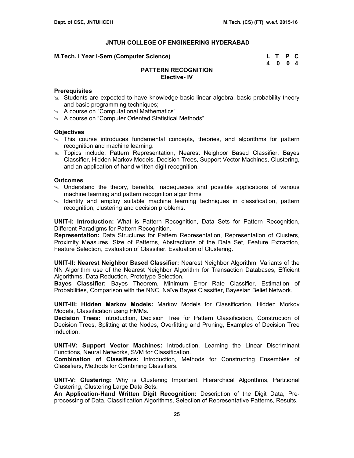#### **M.Tech. I Year I-Sem (Computer Science) L T P C**

 **4 0 0 4** 

# **PATTERN RECOGNITION Elective- IV**

### **Prerequisites**

- $\ge$  Students are expected to have knowledge basic linear algebra, basic probability theory and basic programming techniques;
- $\approx$  A course on "Computational Mathematics"
- $\infty$  A course on "Computer Oriented Statistical Methods"

### **Objectives**

- $\ge$  This course introduces fundamental concepts, theories, and algorithms for pattern recognition and machine learning.
- **EX** Topics include: Pattern Representation, Nearest Neighbor Based Classifier, Bayes Classifier, Hidden Markov Models, Decision Trees, Support Vector Machines, Clustering, and an application of hand-written digit recognition.

### **Outcomes**

- $\infty$  Understand the theory, benefits, inadequacies and possible applications of various machine learning and pattern recognition algorithms
- $\approx$  Identify and employ suitable machine learning techniques in classification, pattern recognition, clustering and decision problems.

**UNIT-I: Introduction:** What is Pattern Recognition, Data Sets for Pattern Recognition, Different Paradigms for Pattern Recognition.

**Representation:** Data Structures for Pattern Representation, Representation of Clusters, Proximity Measures, Size of Patterns, Abstractions of the Data Set, Feature Extraction, Feature Selection, Evaluation of Classifier, Evaluation of Clustering.

**UNIT-II: Nearest Neighbor Based Classifier:** Nearest Neighbor Algorithm, Variants of the NN Algorithm use of the Nearest Neighbor Algorithm for Transaction Databases, Efficient Algorithms, Data Reduction, Prototype Selection.

**Bayes Classifier:** Bayes Theorem, Minimum Error Rate Classifier, Estimation of Probabilities, Comparison with the NNC, Naïve Bayes Classifier, Bayesian Belief Network.

**UNIT-III: Hidden Markov Models:** Markov Models for Classification, Hidden Morkov Models, Classification using HMMs.

**Decision Trees:** Introduction, Decision Tree for Pattern Classification, Construction of Decision Trees, Splitting at the Nodes, Overfitting and Pruning, Examples of Decision Tree Induction.

**UNIT-IV: Support Vector Machines:** Introduction, Learning the Linear Discriminant Functions, Neural Networks, SVM for Classification.

**Combination of Classifiers:** Introduction, Methods for Constructing Ensembles of Classifiers, Methods for Combining Classifiers.

**UNIT-V: Clustering:** Why is Clustering Important, Hierarchical Algorithms, Partitional Clustering, Clustering Large Data Sets.

**An Application-Hand Written Digit Recognition:** Description of the Digit Data, Preprocessing of Data, Classification Algorithms, Selection of Representative Patterns, Results.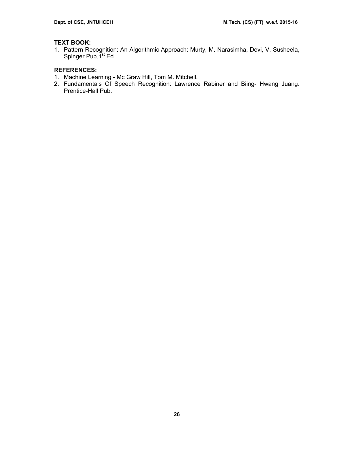# **TEXT BOOK:**

1. Pattern Recognition: An Algorithmic Approach: Murty, M. Narasimha, Devi, V. Susheela, Spinger Pub, 1<sup>st</sup> Ed.

# **REFERENCES:**

- 1. Machine Learning Mc Graw Hill, Tom M. Mitchell.
- 2. Fundamentals Of Speech Recognition: Lawrence Rabiner and Biing- Hwang Juang. Prentice-Hall Pub.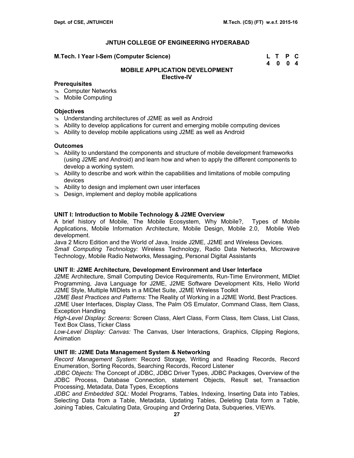#### **M.Tech. I Year I-Sem (Computer Science)**

| M.Tech. I Year I-Sem (Computer Science) | L T P C |  |
|-----------------------------------------|---------|--|
|                                         | 4 0 0 4 |  |

# **MOBILE APPLICATION DEVELOPMENT Elective-IV**

### **Prerequisites**

- $\infty$  Computer Networks
- $\infty$  Mobile Computing

### **Objectives**

- $\infty$  Understanding architectures of J2ME as well as Android
- $\approx$  Ability to develop applications for current and emerging mobile computing devices
- $\approx$  Ability to develop mobile applications using J2ME as well as Android

### **Outcomes**

- $\geq$  Ability to understand the components and structure of mobile development frameworks (using J2ME and Android) and learn how and when to apply the different components to develop a working system.
- $\approx$  Ability to describe and work within the capabilities and limitations of mobile computing devices
- $\approx$  Ability to design and implement own user interfaces
- $\infty$  Design, implement and deploy mobile applications

# **UNIT I: Introduction to Mobile Technology & J2ME Overview**

A brief history of Mobile, The Mobile Ecosystem, Why Mobile?, Types of Mobile Applications, Mobile Information Architecture, Mobile Design, Mobile 2.0, Mobile Web development.

Java 2 Micro Edition and the World of Java, Inside J2ME, J2ME and Wireless Devices.

*Small Computing Technology:* Wireless Technology, Radio Data Networks, Microwave Technology, Mobile Radio Networks, Messaging, Personal Digital Assistants

#### **UNIT II: J2ME Architecture, Development Environment and User Interface**

J2ME Architecture, Small Computing Device Requirements, Run-Time Environment, MIDlet Programming, Java Language for J2ME, J2ME Software Development Kits, Hello World J2ME Style, Multiple MIDlets in a MIDlet Suite, J2ME Wireless Toolkit

*J2ME Best Practices and Patterns:* The Reality of Working in a J2ME World, Best Practices. J2ME User Interfaces, Display Class, The Palm OS Emulator, Command Class, Item Class, Exception Handling

*High-Level Display: Screens:* Screen Class, Alert Class, Form Class, Item Class, List Class, Text Box Class, Ticker Class

*Low-Level Display: Canvas:* The Canvas, User Interactions, Graphics, Clipping Regions, Animation

#### **UNIT III: J2ME Data Management System & Networking**

*Record Management System:* Record Storage, Writing and Reading Records, Record Enumeration, Sorting Records, Searching Records, Record Listener

*JDBC Objects:* The Concept of JDBC, JDBC Driver Types, JDBC Packages, Overview of the JDBC Process, Database Connection, statement Objects, Result set, Transaction Processing, Metadata, Data Types, Exceptions

*JDBC and Embedded SQL:* Model Programs, Tables, Indexing, Inserting Data into Tables, Selecting Data from a Table, Metadata, Updating Tables, Deleting Data form a Table, Joining Tables, Calculating Data, Grouping and Ordering Data, Subqueries, VIEWs.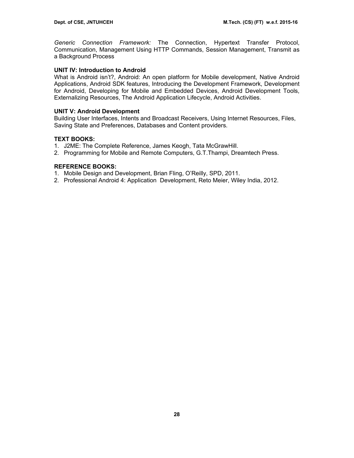*Generic Connection Framework:* The Connection, Hypertext Transfer Protocol, Communication, Management Using HTTP Commands, Session Management, Transmit as a Background Process

# **UNIT IV: Introduction to Android**

What is Android isn't?, Android: An open platform for Mobile development, Native Android Applications, Android SDK features, Introducing the Development Framework, Development for Android, Developing for Mobile and Embedded Devices, Android Development Tools, Externalizing Resources, The Android Application Lifecycle, Android Activities.

# **UNIT V: Android Development**

Building User Interfaces, Intents and Broadcast Receivers, Using Internet Resources, Files, Saving State and Preferences, Databases and Content providers.

# **TEXT BOOKS:**

- 1. J2ME: The Complete Reference, James Keogh, Tata McGrawHill.
- 2. Programming for Mobile and Remote Computers, G.T.Thampi, Dreamtech Press.

# **REFERENCE BOOKS:**

- 1. Mobile Design and Development, Brian Fling, O'Reilly, SPD, 2011.
- 2. Professional Android 4: Application Development, Reto Meier, Wiley India, 2012.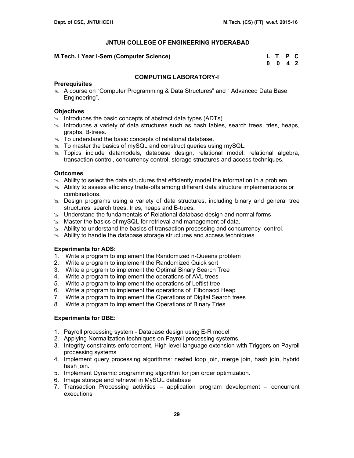### **M.Tech. I Year I-Sem (Computer Science)**

| M.Tech. I Year I-Sem (Computer Science) | L T P C         |  |
|-----------------------------------------|-----------------|--|
|                                         | $0 \t0 \t4 \t2$ |  |

# **COMPUTING LABORATORY-I**

### **Prerequisites**

 $\&$  A course on "Computer Programming & Data Structures" and " Advanced Data Base Engineering".

### **Objectives**

- $\approx$  Introduces the basic concepts of abstract data types (ADTs).
- $\approx$  Introduces a variety of data structures such as hash tables, search trees, tries, heaps, graphs, B-trees.
- $\infty$  To understand the basic concepts of relational database.
- $\approx$  To master the basics of mySQL and construct queries using mySQL.
- s. Topics include datamodels, database design, relational model, relational algebra, transaction control, concurrency control, storage structures and access techniques.

### **Outcomes**

- $\geq$  Ability to select the data structures that efficiently model the information in a problem.
- $\approx$  Ability to assess efficiency trade-offs among different data structure implementations or combinations.
- $\infty$  Design programs using a variety of data structures, including binary and general tree structures, search trees, tries, heaps and B-trees.
- $\geq$  Understand the fundamentals of Relational database design and normal forms
- $\approx$  Master the basics of mySQL for retrieval and management of data.
- $\approx$  Ability to understand the basics of transaction processing and concurrency control.
- $\approx$  Ability to handle the database storage structures and access techniques

#### **Experiments for ADS:**

- 1. Write a program to implement the Randomized n-Queens problem
- 2. Write a program to implement the Randomized Quick sort
- 3. Write a program to implement the Optimal Binary Search Tree
- 4. Write a program to implement the operations of AVL trees
- 5. Write a program to implement the operations of Leftist tree
- 6. Write a program to implement the operations of Fibonacci Heap
- 7. Write a program to implement the Operations of Digital Search trees
- 8. Write a program to implement the Operations of Binary Tries

# **Experiments for DBE:**

- 1. Payroll processing system Database design using E-R model
- 2. Applying Normalization techniques on Payroll processing systems.
- 3. Integrity constraints enforcement, High level language extension with Triggers on Payroll processing systems
- 4. Implement query processing algorithms: nested loop join, merge join, hash join, hybrid hash join.
- 5. Implement Dynamic programming algorithm for join order optimization.
- 6. Image storage and retrieval in MySQL database
- 7. Transaction Processing activities application program development concurrent executions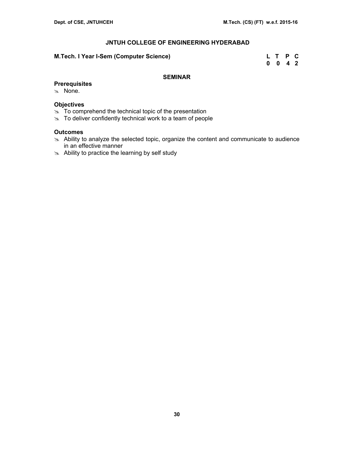### **M.Tech. I Year I-Sem (Computer Science)**

| M.Tech. I Year I-Sem (Computer Science) | L T P C            |  |
|-----------------------------------------|--------------------|--|
|                                         | $0 \t 0 \t 4 \t 2$ |  |

# **SEMINAR**

- **Prerequisites**
- $\infty$  None.

# **Objectives**

- $\infty$  To comprehend the technical topic of the presentation
- $\infty$  To deliver confidently technical work to a team of people

# **Outcomes**

- $\infty$  Ability to analyze the selected topic, organize the content and communicate to audience in an effective manner
- $\approx$  Ability to practice the learning by self study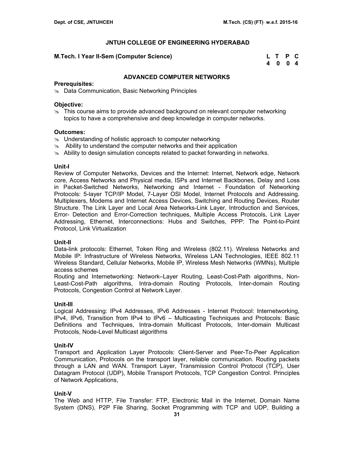# **M.Tech. I Year II-Sem (Computer Science)**

| M.Tech. I Year II-Sem (Computer Science) | L T P C |  |
|------------------------------------------|---------|--|
|                                          | 4004    |  |

# **ADVANCED COMPUTER NETWORKS**

### **Prerequisites:**

 $\approx$  Data Communication, Basic Networking Principles

# **Objective:**

 $\geq$  This course aims to provide advanced background on relevant computer networking topics to have a comprehensive and deep knowledge in computer networks.

# **Outcomes:**

- $\approx$  Understanding of holistic approach to computer networking
- $\approx$  Ability to understand the computer networks and their application
- $\approx$  Ability to design simulation concepts related to packet forwarding in networks.

# **Unit-I**

Review of Computer Networks, Devices and the Internet: Internet, Network edge, Network core, Access Networks and Physical media, ISPs and Internet Backbones, Delay and Loss in Packet-Switched Networks, Networking and Internet - Foundation of Networking Protocols: 5-layer TCP/IP Model, 7-Layer OSI Model, Internet Protocols and Addressing. Multiplexers, Modems and Internet Access Devices, Switching and Routing Devices, Router Structure. The Link Layer and Local Area Networks-Link Layer, Introduction and Services, Error- Detection and Error-Correction techniques, Multiple Access Protocols, Link Layer Addressing, Ethernet, Interconnections: Hubs and Switches, PPP: The Point-to-Point Protocol, Link Virtualization

# **Unit-II**

Data-link protocols: Ethernet, Token Ring and Wireless (802.11). Wireless Networks and Mobile IP: Infrastructure of Wireless Networks, Wireless LAN Technologies, IEEE 802.11 Wireless Standard, Cellular Networks, Mobile IP, Wireless Mesh Networks (WMNs), Multiple access schemes

Routing and Internetworking: Network–Layer Routing, Least-Cost-Path algorithms, Non-Least-Cost-Path algorithms, Intra-domain Routing Protocols, Inter-domain Routing Protocols, Congestion Control at Network Layer.

# **Unit-III**

Logical Addressing: IPv4 Addresses, IPv6 Addresses - Internet Protocol: Internetworking, IPv4, IPv6, Transition from IPv4 to IPv6 – Multicasting Techniques and Protocols: Basic Definitions and Techniques, Intra-domain Multicast Protocols, Inter-domain Multicast Protocols, Node-Level Multicast algorithms

# **Unit-IV**

Transport and Application Layer Protocols: Client-Server and Peer-To-Peer Application Communication, Protocols on the transport layer, reliable communication. Routing packets through a LAN and WAN. Transport Layer, Transmission Control Protocol (TCP), User Datagram Protocol (UDP), Mobile Transport Protocols, TCP Congestion Control. Principles of Network Applications,

# **Unit-V**

The Web and HTTP, File Transfer: FTP, Electronic Mail in the Internet, Domain Name System (DNS), P2P File Sharing, Socket Programming with TCP and UDP, Building a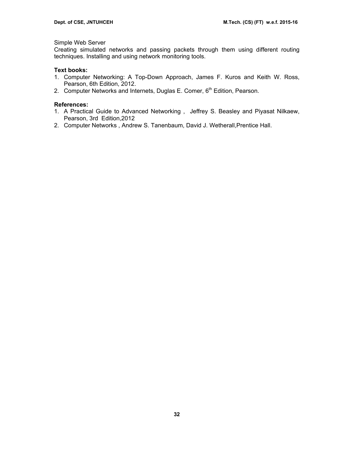# Simple Web Server

Creating simulated networks and passing packets through them using different routing techniques. Installing and using network monitoring tools.

# **Text books:**

- 1. Computer Networking: A Top-Down Approach, James F. Kuros and Keith W. Ross, Pearson, 6th Edition, 2012.
- 2. Computer Networks and Internets, Duglas E. Comer,  $6<sup>th</sup>$  Edition, Pearson.

# **References:**

- 1. A Practical Guide to Advanced Networking , Jeffrey S. Beasley and Piyasat Nilkaew, Pearson, 3rd Edition,2012
- 2. Computer Networks , Andrew S. Tanenbaum, David J. Wetherall,Prentice Hall.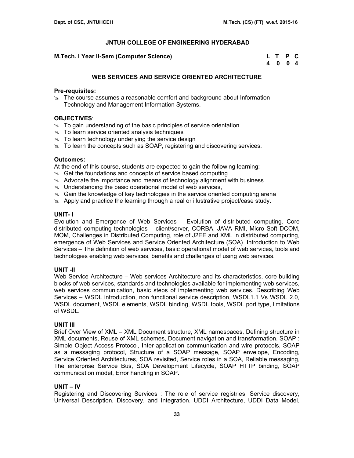**M.Tech. I Year II-Sem (Computer Science)** 

| M.Tech. I Year II-Sem (Computer Science) | L T P C |  |
|------------------------------------------|---------|--|
|                                          | 4004    |  |

# **WEB SERVICES AND SERVICE ORIENTED ARCHITECTURE**

### **Pre-requisites:**

 $\geq$  The course assumes a reasonable comfort and background about Information Technology and Management Information Systems.

# **OBJECTIVES**:

- $\approx$  To gain understanding of the basic principles of service orientation
- $\infty$  To learn service oriented analysis techniques
- $\infty$  To learn technology underlying the service design
- $\approx$  To learn the concepts such as SOAP, registering and discovering services.

# **Outcomes:**

At the end of this course, students are expected to gain the following learning:

- $\approx$  Get the foundations and concepts of service based computing
- $\approx$  Advocate the importance and means of technology alignment with business
- $\approx$  Understanding the basic operational model of web services,
- $\infty$  Gain the knowledge of key technologies in the service oriented computing arena
- $\triangle$  Apply and practice the learning through a real or illustrative project/case study.

# **UNIT- I**

Evolution and Emergence of Web Services – Evolution of distributed computing. Core distributed computing technologies – client/server, CORBA, JAVA RMI, Micro Soft DCOM, MOM, Challenges in Distributed Computing, role of J2EE and XML in distributed computing, emergence of Web Services and Service Oriented Architecture (SOA). Introduction to Web Services – The definition of web services, basic operational model of web services, tools and technologies enabling web services, benefits and challenges of using web services.

# **UNIT -II**

Web Service Architecture – Web services Architecture and its characteristics, core building blocks of web services, standards and technologies available for implementing web services, web services communication, basic steps of implementing web services. Describing Web Services – WSDL introduction, non functional service description, WSDL1.1 Vs WSDL 2.0, WSDL document, WSDL elements, WSDL binding, WSDL tools, WSDL port type, limitations of WSDL.

# **UNIT III**

Brief Over View of XML – XML Document structure, XML namespaces, Defining structure in XML documents, Reuse of XML schemes, Document navigation and transformation. SOAP : Simple Object Access Protocol, Inter-application communication and wire protocols, SOAP as a messaging protocol, Structure of a SOAP message, SOAP envelope, Encoding, Service Oriented Architectures, SOA revisited, Service roles in a SOA, Reliable messaging, The enterprise Service Bus, SOA Development Lifecycle, SOAP HTTP binding, SOAP communication model, Error handling in SOAP.

# **UNIT – IV**

Registering and Discovering Services : The role of service registries, Service discovery, Universal Description, Discovery, and Integration, UDDI Architecture, UDDI Data Model,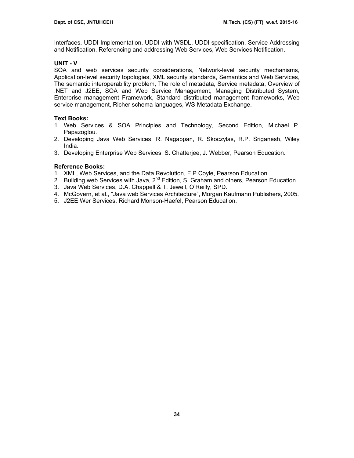Interfaces, UDDI Implementation, UDDI with WSDL, UDDI specification, Service Addressing and Notification, Referencing and addressing Web Services, Web Services Notification.

# **UNIT - V**

SOA and web services security considerations, Network-level security mechanisms, Application-level security topologies, XML security standards, Semantics and Web Services, The semantic interoperability problem, The role of metadata, Service metadata, Overview of .NET and J2EE, SOA and Web Service Management, Managing Distributed System, Enterprise management Framework, Standard distributed management frameworks, Web service management, Richer schema languages, WS-Metadata Exchange.

# **Text Books:**

- 1. Web Services & SOA Principles and Technology, Second Edition, Michael P. Papazoglou.
- 2. Developing Java Web Services, R. Nagappan, R. Skoczylas, R.P. Sriganesh, Wiley India.
- 3. Developing Enterprise Web Services, S. Chatterjee, J. Webber, Pearson Education.

# **Reference Books:**

- 1. XML, Web Services, and the Data Revolution, F.P.Coyle, Pearson Education.
- 2. Building web Services with Java, 2<sup>nd</sup> Edition, S. Graham and others, Pearson Education.
- 3. Java Web Services, D.A. Chappell & T. Jewell, O'Reilly, SPD.
- 4. McGovern, et al., "Java web Services Architecture", Morgan Kaufmann Publishers, 2005.
- 5. J2EE Wer Services, Richard Monson-Haefel, Pearson Education.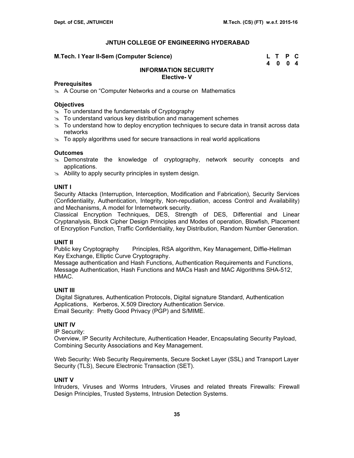# **M.Tech. I Year II-Sem (Computer Science)**

| M.Tech. I Year II-Sem (Computer Science) | L T P C |  |
|------------------------------------------|---------|--|
|                                          | 4004    |  |

# **INFORMATION SECURITY Elective- V**

### **Prerequisites**

 $\&$  A Course on "Computer Networks and a course on Mathematics

# **Objectives**

- $\approx$  To understand the fundamentals of Cryptography
- $\approx$  To understand various key distribution and management schemes
- $\approx$  To understand how to deploy encryption techniques to secure data in transit across data networks
- $\geq$  To apply algorithms used for secure transactions in real world applications

# **Outcomes**

- $\infty$  Demonstrate the knowledge of cryptography, network security concepts and applications.
- $\approx$  Ability to apply security principles in system design.

# **UNIT I**

Security Attacks (Interruption, Interception, Modification and Fabrication), Security Services (Confidentiality, Authentication, Integrity, Non-repudiation, access Control and Availability) and Mechanisms, A model for Internetwork security.

Classical Encryption Techniques, DES, Strength of DES, Differential and Linear Cryptanalysis, Block Cipher Design Principles and Modes of operation, Blowfish, Placement of Encryption Function, Traffic Confidentiality, key Distribution, Random Number Generation.

# **UNIT II**

Public key Cryptography Principles, RSA algorithm, Key Management, Diffie-Hellman Key Exchange, Elliptic Curve Cryptography.

Message authentication and Hash Functions, Authentication Requirements and Functions, Message Authentication, Hash Functions and MACs Hash and MAC Algorithms SHA-512, HMAC.

# **UNIT III**

 Digital Signatures, Authentication Protocols, Digital signature Standard, Authentication Applications, Kerberos, X.509 Directory Authentication Service. Email Security: Pretty Good Privacy (PGP) and S/MIME.

# **UNIT IV**

IP Security:

Overview, IP Security Architecture, Authentication Header, Encapsulating Security Payload, Combining Security Associations and Key Management.

Web Security: Web Security Requirements, Secure Socket Layer (SSL) and Transport Layer Security (TLS), Secure Electronic Transaction (SET).

# **UNIT V**

Intruders, Viruses and Worms Intruders, Viruses and related threats Firewalls: Firewall Design Principles, Trusted Systems, Intrusion Detection Systems.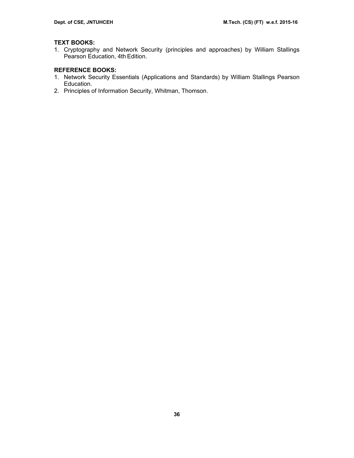# **TEXT BOOKS:**

1. Cryptography and Network Security (principles and approaches) by William Stallings Pearson Education, 4th Edition.

# **REFERENCE BOOKS:**

- 1. Network Security Essentials (Applications and Standards) by William Stallings Pearson Education.
- 2. Principles of Information Security, Whitman, Thomson.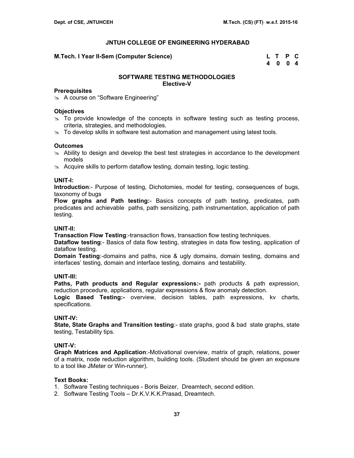**M.Tech. I Year II-Sem (Computer Science) L T P C** 

 **4 0 0 4** 

### **SOFTWARE TESTING METHODOLOGIES Elective-V**

#### **Prerequisites**

**A course on "Software Engineering"** 

#### **Objectives**

- $\ge$  To provide knowledge of the concepts in software testing such as testing process, criteria, strategies, and methodologies.
- $\infty$  To develop skills in software test automation and management using latest tools.

### **Outcomes**

- $\approx$  Ability to design and develop the best test strategies in accordance to the development models
- $\approx$  Acquire skills to perform dataflow testing, domain testing, logic testing.

### **UNIT-I:**

**Introduction**:- Purpose of testing, Dichotomies, model for testing, consequences of bugs, taxonomy of bugs

**Flow graphs and Path testing:**- Basics concepts of path testing, predicates, path predicates and achievable paths, path sensitizing, path instrumentation, application of path testing.

### **UNIT-II:**

**Transaction Flow Testing:-transaction flows, transaction flow testing techniques.** 

**Dataflow testing**:- Basics of data flow testing, strategies in data flow testing, application of dataflow testing.

**Domain Testing**:-domains and paths, nice & ugly domains, domain testing, domains and interfaces' testing, domain and interface testing, domains and testability.

# **UNIT-III:**

**Paths, Path products and Regular expressions:-** path products & path expression, reduction procedure, applications, regular expressions & flow anomaly detection.

**Logic Based Testing:-** overview, decision tables, path expressions, kv charts, specifications.

#### **UNIT-IV:**

**State, State Graphs and Transition testing**:- state graphs, good & bad state graphs, state testing, Testability tips.

# **UNIT-V:**

**Graph Matrices and Application**:-Motivational overview, matrix of graph, relations, power of a matrix, node reduction algorithm, building tools. (Student should be given an exposure to a tool like JMeter or Win-runner).

#### **Text Books:**

- 1. Software Testing techniques Boris Beizer, Dreamtech, second edition.
- 2. Software Testing Tools Dr.K.V.K.K.Prasad, Dreamtech.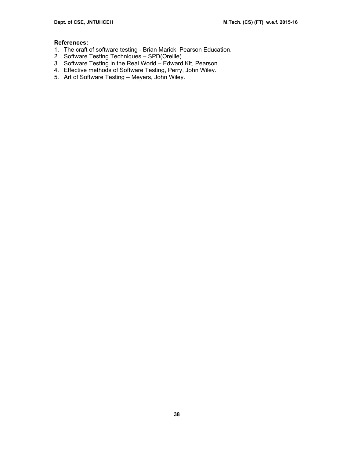# **References:**

- 1. The craft of software testing Brian Marick, Pearson Education.
- 2. Software Testing Techniques SPD(Oreille)
- 3. Software Testing in the Real World Edward Kit, Pearson.
- 4. Effective methods of Software Testing, Perry, John Wiley.
- 5. Art of Software Testing Meyers, John Wiley.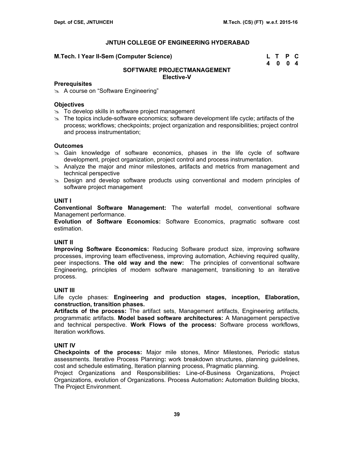#### **M.Tech. I Year II-Sem (Computer Science)**

| M.Tech. I Year II-Sem (Computer Science) | L T P C |  |
|------------------------------------------|---------|--|
|                                          | 4 0 0 4 |  |

# **SOFTWARE PROJECTMANAGEMENT Elective-V**

#### **Prerequisites**

**A course on "Software Engineering"** 

# **Objectives**

- $\approx$  To develop skills in software project management
- $\geq$  The topics include-software economics; software development life cycle; artifacts of the process; workflows; checkpoints; project organization and responsibilities; project control and process instrumentation;

### **Outcomes**

- $\approx$  Gain knowledge of software economics, phases in the life cycle of software development, project organization, project control and process instrumentation.
- $\infty$  Analyze the major and minor milestones, artifacts and metrics from management and technical perspective
- $\infty$  Design and develop software products using conventional and modern principles of software project management

# **UNIT I**

**Conventional Software Management:** The waterfall model, conventional software Management performance.

**Evolution of Software Economics:** Software Economics, pragmatic software cost estimation.

### **UNIT II**

**Improving Software Economics:** Reducing Software product size, improving software processes, improving team effectiveness, improving automation, Achieving required quality, peer inspections. **The old way and the new:** The principles of conventional software Engineering, principles of modern software management, transitioning to an iterative process.

#### **UNIT III**

Life cycle phases: **Engineering and production stages, inception, Elaboration, construction, transition phases.** 

**Artifacts of the process:** The artifact sets, Management artifacts, Engineering artifacts, programmatic artifacts. **Model based software architectures:** A Management perspective and technical perspective. **Work Flows of the process:** Software process workflows, Iteration workflows.

# **UNIT IV**

**Checkpoints of the process:** Major mile stones, Minor Milestones, Periodic status assessments. Iterative Process Planning**:** work breakdown structures, planning guidelines, cost and schedule estimating, Iteration planning process, Pragmatic planning.

Project Organizations and Responsibilities**:** Line-of-Business Organizations, Project Organizations, evolution of Organizations. Process Automation**:** Automation Building blocks, The Project Environment.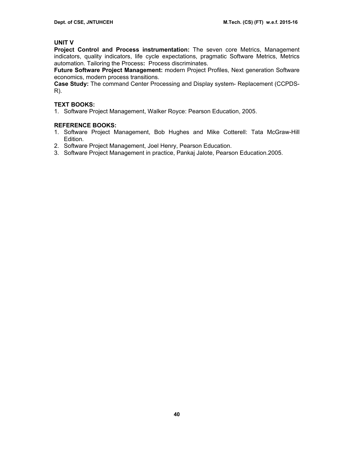# **UNIT V**

**Project Control and Process instrumentation:** The seven core Metrics, Management indicators, quality indicators, life cycle expectations, pragmatic Software Metrics, Metrics automation. Tailoring the Process**:** Process discriminates.

**Future Software Project Management:** modern Project Profiles, Next generation Software economics, modern process transitions.

**Case Study:** The command Center Processing and Display system- Replacement (CCPDS-R).

# **TEXT BOOKS:**

1. Software Project Management, Walker Royce: Pearson Education, 2005.

# **REFERENCE BOOKS:**

- 1. Software Project Management, Bob Hughes and Mike Cotterell: Tata McGraw-Hill Edition.
- 2. Software Project Management, Joel Henry, Pearson Education.
- 3. Software Project Management in practice, Pankaj Jalote, Pearson Education.2005.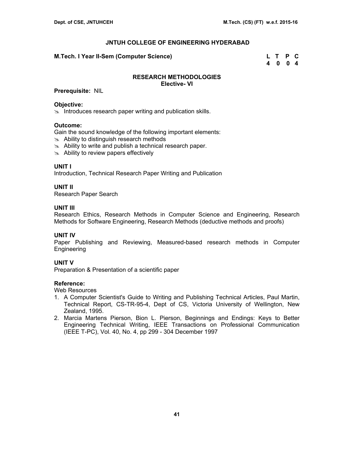# **M.Tech. I Year II-Sem (Computer Science) L T P C**

 **4 0 0 4** 

# **RESEARCH METHODOLOGIES Elective- VI**

# **Prerequisite:** NIL

# **Objective:**

 $\infty$  Introduces research paper writing and publication skills.

### **Outcome:**

Gain the sound knowledge of the following important elements:

- $\approx$  Ability to distinguish research methods
- $\approx$  Ability to write and publish a technical research paper.
- $\approx$  Ability to review papers effectively

# **UNIT I**

Introduction, Technical Research Paper Writing and Publication

# **UNIT II**

Research Paper Search

# **UNIT III**

Research Ethics, Research Methods in Computer Science and Engineering, Research Methods for Software Engineering, Research Methods (deductive methods and proofs)

# **UNIT IV**

Paper Publishing and Reviewing, Measured-based research methods in Computer **Engineering** 

# **UNIT V**

Preparation & Presentation of a scientific paper

# **Reference:**

Web Resources

- 1. A Computer Scientist's Guide to Writing and Publishing Technical Articles, Paul Martin, Technical Report, CS-TR-95-4, Dept of CS, Victoria University of Wellington, New Zealand, 1995.
- 2. Marcia Martens Pierson, Bion L. Pierson, Beginnings and Endings: Keys to Better Engineering Technical Writing, IEEE Transactions on Professional Communication (IEEE T-PC), Vol. 40, No. 4, pp 299 - 304 December 1997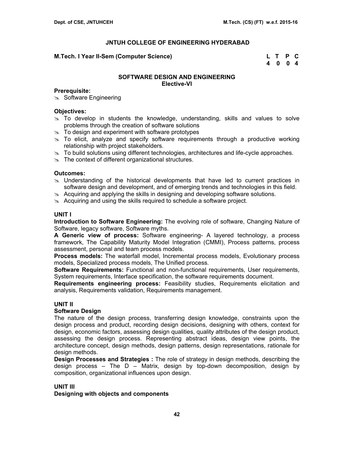#### **M.Tech. I Year II-Sem (Computer Science) L T P C**

 **4 0 0 4** 

### **SOFTWARE DESIGN AND ENGINEERING Elective-VI**

### **Prerequisite:**

 $\approx$  Software Engineering

#### **Objectives:**

- $\ge$  To develop in students the knowledge, understanding, skills and values to solve problems through the creation of software solutions
- $\approx$  To design and experiment with software prototypes
- $\geq$  To elicit, analyze and specify software requirements through a productive working relationship with project stakeholders.
- $\infty$  To build solutions using different technologies, architectures and life-cycle approaches.
- $\approx$  The context of different organizational structures.

#### **Outcomes:**

- $\geq$  Understanding of the historical developments that have led to current practices in software design and development, and of emerging trends and technologies in this field.
- $\&$  Acquiring and applying the skills in designing and developing software solutions.
- $\approx$  Acquiring and using the skills required to schedule a software project.

#### **UNIT I**

**Introduction to Software Engineering:** The evolving role of software, Changing Nature of Software, legacy software, Software myths.

**A Generic view of process:** Software engineering- A layered technology, a process framework, The Capability Maturity Model Integration (CMMI), Process patterns, process assessment, personal and team process models.

**Process models:** The waterfall model, Incremental process models, Evolutionary process models, Specialized process models, The Unified process.

**Software Requirements:** Functional and non-functional requirements, User requirements, System requirements, Interface specification, the software requirements document.

**Requirements engineering process:** Feasibility studies, Requirements elicitation and analysis, Requirements validation, Requirements management.

#### **UNIT II**

# **Software Design**

The nature of the design process, transferring design knowledge, constraints upon the design process and product, recording design decisions, designing with others, context for design, economic factors, assessing design qualities, quality attributes of the design product, assessing the design process. Representing abstract ideas, design view points, the architecture concept, design methods, design patterns, design representations, rationale for design methods.

**Design Processes and Strategies :** The role of strategy in design methods, describing the design process – The  $D - M$ atrix, design by top-down decomposition, design by composition, organizational influences upon design.

#### **UNIT III**

#### **Designing with objects and components**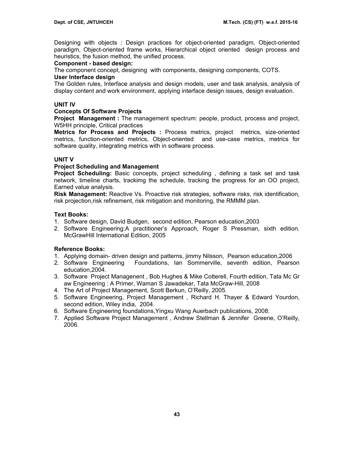Designing with objects : Design practices for object-oriented paradigm, Object-oriented paradigm, Object-oriented frame works, Hierarchical object oriented design process and heuristics, the fusion method, the unified process.

# **Component - based design:**

The component concept, designing with components, designing components, COTS.

# **User Interface design**

The Golden rules, Interface analysis and design models, user and task analysis, analysis of display content and work environment, applying interface design issues, design evaluation.

# **UNIT IV**

# **Concepts Of Software Projects**

**Project Management :** The management spectrum: people, product, process and project, W5HH principle, Critical practices

**Metrics for Process and Projects :** Process metrics, project metrics, size-oriented metrics, function-oriented metrics, Object-oriented and use-case metrics, metrics for software quality, integrating metrics with in software process.

# **UNIT V**

# **Project Scheduling and Management**

**Project Scheduling:** Basic concepts, project scheduling , defining a task set and task network, timeline charts, trackimg the schedule, tracking the progress for an OO project, Earned value analysis.

**Risk Management:** Reactive Vs. Proactive risk strategies, software risks, risk identification, risk projection,risk refinement, risk mitigation and monitoring, the RMMM plan.

# **Text Books:**

- 1. Software design, David Budgen, second edition, Pearson education,2003
- 2. Software Engineering:A practitioner's Approach, Roger S Pressman, sixth edition. McGrawHill International Edition, 2005

# **Reference Books:**

- 1. Applying domain- driven design and patterns, jimmy Nilsson, Pearson education,2006
- 2. Software Engineering Foundations, Ian Sommerville, seventh edition, Pearson education,2004.
- 3. Software Project Managenent , Bob Hughes & Mike Cotterell, Fourth edition, Tata Mc Gr aw Engineering : A Primer, Waman S Jawadekar, Tata McGraw-Hill, 2008
- 4. The Art of Project Management, Scott Berkun, O'Reilly, 2005.
- 5. Software Engineering, Project Management , Richard H. Thayer & Edward Yourdon, second edition, Wiley india, 2004.
- 6. Software Engineering foundations,Yingxu Wang Auerbach publications, 2008.
- 7. Applied Software Project Management , Andrew Stellman & Jennifer Greene, O'Reilly, 2006.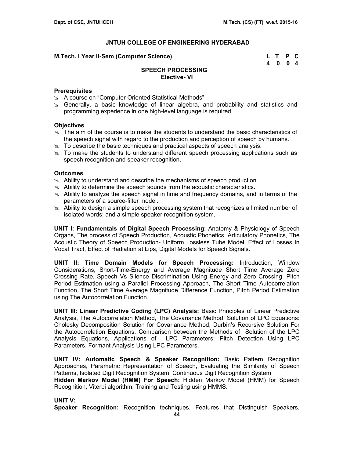# **M.Tech. I Year II-Sem (Computer Science)**

| M.Tech. I Year II-Sem (Computer Science) | L T P C |  |
|------------------------------------------|---------|--|
|                                          | 4 0 0 4 |  |

# **SPEECH PROCESSING Elective- VI**

# **Prerequisites**

- im A course on "Computer Oriented Statistical Methods"
- s. Generally, a basic knowledge of linear algebra, and probability and statistics and programming experience in one high-level language is required.

### **Objectives**

- $\geq$  The aim of the course is to make the students to understand the basic characteristics of the speech signal with regard to the production and perception of speech by humans.
- $\approx$  To describe the basic techniques and practical aspects of speech analysis.
- $\approx$  To make the students to understand different speech processing applications such as speech recognition and speaker recognition.

#### **Outcomes**

- $\geq$  Ability to understand and describe the mechanisms of speech production.
- $\geq$  Ability to determine the speech sounds from the acoustic characteristics.
- $\geq$  Ability to analyze the speech signal in time and frequency domains, and in terms of the parameters of a source-filter model.
- $\approx$  Ability to design a simple speech processing system that recognizes a limited number of isolated words; and a simple speaker recognition system.

**UNIT I: Fundamentals of Digital Speech Processing**: Anatomy & Physiology of Speech Organs, The process of Speech Production, Acoustic Phonetics, Articulatory Phonetics, The Acoustic Theory of Speech Production- Uniform Lossless Tube Model, Effect of Losses In Vocal Tract, Effect of Radiation at Lips, Digital Models for Speech Signals.

**UNIT II: Time Domain Models for Speech Processing:** Introduction, Window Considerations, Short-Time-Energy and Average Magnitude Short Time Average Zero Crossing Rate, Speech Vs Silence Discrimination Using Energy and Zero Crossing, Pitch Period Estimation using a Parallel Processing Approach, The Short Time Autocorrelation Function, The Short Time Average Magnitude Difference Function, Pitch Period Estimation using The Autocorrelation Function.

**UNIT III: Linear Predictive Coding (LPC) Analysis:** Basic Principles of Linear Predictive Analysis, The Autocorrelation Method, The Covariance Method, Solution of LPC Equations: Cholesky Decomposition Solution for Covariance Method, Durbin's Recursive Solution For the Autocorrelation Equations, Comparison between the Methods of Solution of the LPC Analysis Equations, Applications of LPC Parameters: Pitch Detection Using LPC Parameters, Formant Analysis Using LPC Parameters.

**UNIT IV: Automatic Speech & Speaker Recognition:** Basic Pattern Recognition Approaches, Parametric Representation of Speech, Evaluating the Similarity of Speech Patterns, Isolated Digit Recognition System, Continuous Digit Recognition System

**Hidden Markov Model (HMM) For Speech:** Hidden Markov Model (HMM) for Speech Recognition, Viterbi algorithm, Training and Testing using HMMS.

# **UNIT V:**

**Speaker Recognition:** Recognition techniques, Features that Distinguish Speakers,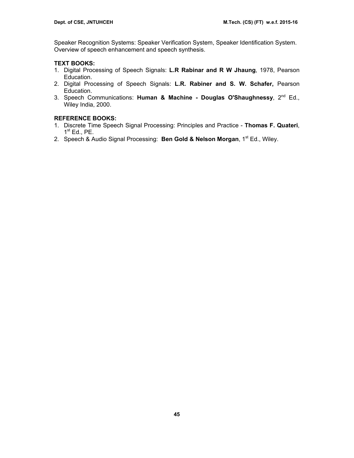Speaker Recognition Systems: Speaker Verification System, Speaker Identification System. Overview of speech enhancement and speech synthesis.

# **TEXT BOOKS:**

- 1. Digital Processing of Speech Signals: **L.R Rabinar and R W Jhaung**, 1978, Pearson Education.
- 2. Digital Processing of Speech Signals: **L.R. Rabiner and S. W. Schafer,** Pearson Education.
- 3. Speech Communications: **Human & Machine Douglas O'Shaughnessy**, 2nd Ed., Wiley India, 2000.

# **REFERENCE BOOKS:**

- 1. Discrete Time Speech Signal Processing: Principles and Practice **Thomas F. Quateri**,  $1<sup>st</sup>$  Ed., PE.
- 2. Speech & Audio Signal Processing: **Ben Gold & Nelson Morgan**, 1<sup>st</sup> Ed., Wiley.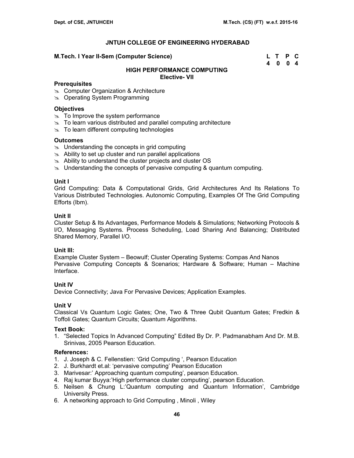#### **M.Tech. I Year II-Sem (Computer Science) L T P C**

 **4 0 0 4** 

# **HIGH PERFORMANCE COMPUTING Elective- VII**

#### **Prerequisites**

- **8 Computer Organization & Architecture**
- $\infty$  Operating System Programming

### **Objectives**

- $\approx$  To Improve the system performance
- $\approx$  To learn various distributed and parallel computing architecture
- $\approx$  To learn different computing technologies

### **Outcomes**

- $\infty$  Understanding the concepts in grid computing
- $\approx$  Ability to set up cluster and run parallel applications
- $\approx$  Ability to understand the cluster projects and cluster OS
- $\infty$  Understanding the concepts of pervasive computing & quantum computing.

#### **Unit I**

Grid Computing: Data & Computational Grids, Grid Architectures And Its Relations To Various Distributed Technologies. Autonomic Computing, Examples Of The Grid Computing Efforts (Ibm).

#### **Unit II**

Cluster Setup & Its Advantages, Performance Models & Simulations; Networking Protocols & I/O, Messaging Systems. Process Scheduling, Load Sharing And Balancing; Distributed Shared Memory, Parallel I/O.

#### **Unit III:**

Example Cluster System – Beowulf; Cluster Operating Systems: Compas And Nanos Pervasive Computing Concepts & Scenarios; Hardware & Software; Human – Machine Interface.

#### **Unit IV**

Device Connectivity; Java For Pervasive Devices; Application Examples.

#### **Unit V**

Classical Vs Quantum Logic Gates; One, Two & Three Qubit Quantum Gates; Fredkin & Toffoli Gates; Quantum Circuits; Quantum Algorithms.

#### **Text Book:**

1. "Selected Topics In Advanced Computing" Edited By Dr. P. Padmanabham And Dr. M.B. Srinivas, 2005 Pearson Education.

#### **References:**

- 1. J. Joseph & C. Fellenstien: 'Grid Computing ', Pearson Education
- 2. J. Burkhardt et.al: 'pervasive computing' Pearson Education
- 3. Marivesar:' Approaching quantum computing', pearson Education.
- 4. Raj kumar Buyya:'High performance cluster computing', pearson Education.
- 5. Neilsen & Chung L:'Quantum computing and Quantum Information', Cambridge University Press.
- 6. A networking approach to Grid Computing , Minoli , Wiley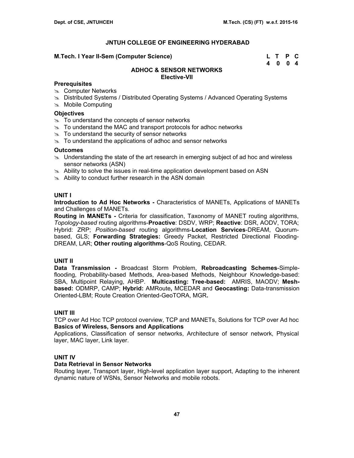### **M.Tech. I Year II-Sem (Computer Science)**

| M.Tech. I Year II-Sem (Computer Science) | L T P C |  |
|------------------------------------------|---------|--|
|                                          | 4 0 0 4 |  |

# **ADHOC & SENSOR NETWORKS Elective-VII**

# **Prerequisites**

- **& Computer Networks**
- **EXEDED Systems / Distributed Operating Systems / Advanced Operating Systems**
- $\approx$  Mobile Computing

# **Objectives**

- $\approx$  To understand the concepts of sensor networks
- $\approx$  To understand the MAC and transport protocols for adhoc networks
- $\approx$  To understand the security of sensor networks
- $\approx$  To understand the applications of adhoc and sensor networks

# **Outcomes**

- $\infty$  Understanding the state of the art research in emerging subject of ad hoc and wireless sensor networks (ASN)
- $\approx$  Ability to solve the issues in real-time application development based on ASN
- $\approx$  Ability to conduct further research in the ASN domain

# **UNIT I**

**Introduction to Ad Hoc Networks -** Characteristics of MANETs, Applications of MANETs and Challenges of MANETs.

**Routing in MANETs -** Criteria for classification, Taxonomy of MANET routing algorithms, *Topology-based* routing algorithms-**Proactive**: DSDV, WRP; **Reactive**: DSR, AODV, TORA; Hybrid: ZRP; *Position-based* routing algorithms-**Location Services**-DREAM, Quorumbased, GLS; **Forwarding Strategies:** Greedy Packet, Restricted Directional Flooding-DREAM, LAR; **Other routing algorithms**-QoS Routing, CEDAR.

# **UNIT II**

**Data Transmission -** Broadcast Storm Problem, **Rebroadcasting Schemes**-Simpleflooding, Probability-based Methods, Area-based Methods, Neighbour Knowledge-based: SBA, Multipoint Relaying, AHBP. **Multicasting: Tree-based:** AMRIS, MAODV; **Meshbased:** ODMRP, CAMP; **Hybrid:** AMRoute**,** MCEDAR and **Geocasting:** Data-transmission Oriented-LBM; Route Creation Oriented-GeoTORA, MGR**.** 

# **UNIT III**

TCP over Ad Hoc TCP protocol overview, TCP and MANETs, Solutions for TCP over Ad hoc **Basics of Wireless, Sensors and Applications** 

Applications, Classification of sensor networks, Architecture of sensor network, Physical layer, MAC layer, Link layer.

# **UNIT IV**

# **Data Retrieval in Sensor Networks**

Routing layer, Transport layer, High-level application layer support, Adapting to the inherent dynamic nature of WSNs, Sensor Networks and mobile robots.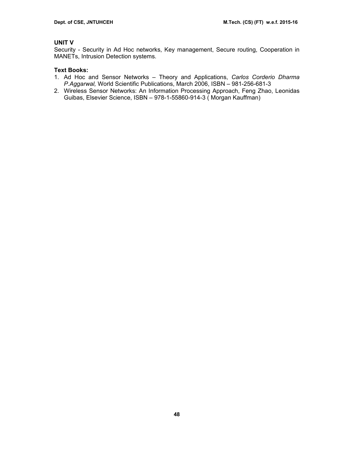# **UNIT V**

Security - Security in Ad Hoc networks, Key management, Secure routing, Cooperation in MANETs, Intrusion Detection systems.

# **Text Books:**

- 1. Ad Hoc and Sensor Networks Theory and Applications, *Carlos Corderio Dharma P.Aggarwal,* World Scientific Publications, March 2006, ISBN – 981-256-681-3
- 2. Wireless Sensor Networks: An Information Processing Approach, Feng Zhao, Leonidas Guibas, Elsevier Science, ISBN – 978-1-55860-914-3 ( Morgan Kauffman)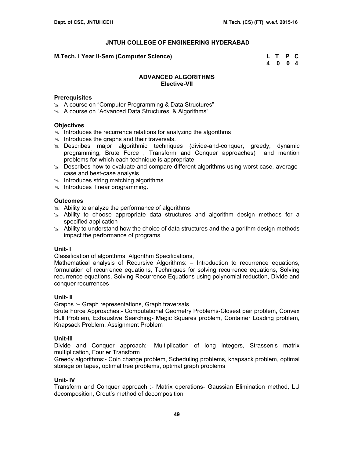#### **M.Tech. I Year II-Sem (Computer Science) L T P C**

 **4 0 0 4** 

### **ADVANCED ALGORITHMS Elective-VII**

#### **Prerequisites**

- ≥ A course on "Computer Programming & Data Structures"
- im A course on "Advanced Data Structures & Algorithms"

#### **Objectives**

- $\infty$  Introduces the recurrence relations for analyzing the algorithms
- $\approx$  Introduces the graphs and their traversals.
- $\approx$  Describes major algorithmic techniques (divide-and-conquer, greedy, dynamic programming, Brute Force , Transform and Conquer approaches) and mention problems for which each technique is appropriate;
- $\infty$  Describes how to evaluate and compare different algorithms using worst-case, averagecase and best-case analysis.
- $\approx$  Introduces string matching algorithms
- $\infty$  Introduces linear programming.

# **Outcomes**

- $\approx$  Ability to analyze the performance of algorithms
- $\geq$  Ability to choose appropriate data structures and algorithm design methods for a specified application
- $\approx$  Ability to understand how the choice of data structures and the algorithm design methods impact the performance of programs

#### **Unit- I**

Classification of algorithms, Algorithm Specifications,

Mathematical analysis of Recursive Algorithms: – Introduction to recurrence equations, formulation of recurrence equations, Techniques for solving recurrence equations, Solving recurrence equations, Solving Recurrence Equations using polynomial reduction, Divide and conquer recurrences

#### **Unit- II**

Graphs :– Graph representations, Graph traversals

Brute Force Approaches:- Computational Geometry Problems-Closest pair problem, Convex Hull Problem, Exhaustive Searching- Magic Squares problem, Container Loading problem, Knapsack Problem, Assignment Problem

#### **Unit-III**

Divide and Conquer approach:- Multiplication of long integers, Strassen's matrix multiplication, Fourier Transform

Greedy algorithms:- Coin change problem, Scheduling problems, knapsack problem, optimal storage on tapes, optimal tree problems, optimal graph problems

### **Unit- IV**

Transform and Conquer approach :- Matrix operations- Gaussian Elimination method, LU decomposition, Crout's method of decomposition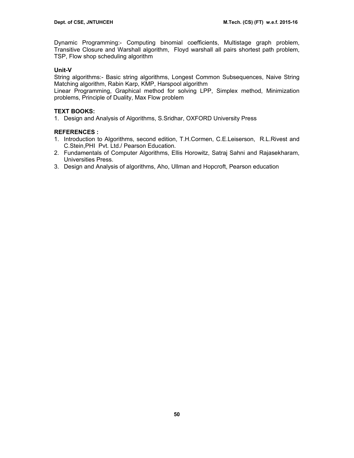Dynamic Programming:- Computing binomial coefficients, Multistage graph problem, Transitive Closure and Warshall algorithm, Floyd warshall all pairs shortest path problem, TSP, Flow shop scheduling algorithm

# **Unit-V**

String algorithms:- Basic string algorithms, Longest Common Subsequences, Naive String Matching algorithm, Rabin Karp, KMP, Harspool algorithm

Linear Programming, Graphical method for solving LPP, Simplex method, Minimization problems, Principle of Duality, Max Flow problem

# **TEXT BOOKS:**

1. Design and Analysis of Algorithms, S.Sridhar, OXFORD University Press

# **REFERENCES :**

- 1. Introduction to Algorithms, second edition, T.H.Cormen, C.E.Leiserson, R.L.Rivest and C.Stein,PHI Pvt. Ltd./ Pearson Education.
- 2. Fundamentals of Computer Algorithms, Ellis Horowitz, Satraj Sahni and Rajasekharam, Universities Press.
- 3. Design and Analysis of algorithms, Aho, Ullman and Hopcroft, Pearson education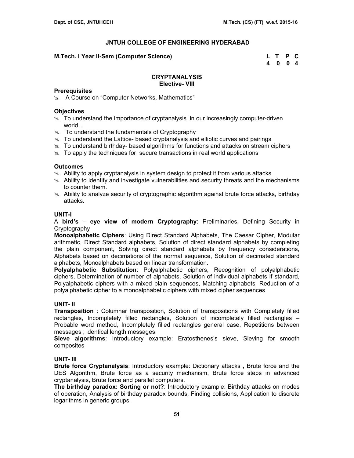### **M.Tech. I Year II-Sem (Computer Science)**

| M.Tech. I Year II-Sem (Computer Science) | L T P C |  |
|------------------------------------------|---------|--|
|                                          | 4 0 0 4 |  |

#### **CRYPTANALYSIS Elective- VIII**

### **Prerequisites**

**EX** A Course on "Computer Networks, Mathematics"

### **Objectives**

- $\geq$  To understand the importance of cryptanalysis in our increasingly computer-driven world..
- $\approx$  To understand the fundamentals of Cryptography
- $\geq$  To understand the Lattice- based cryptanalysis and elliptic curves and pairings
- $\geq$  To understand birthday- based algorithms for functions and attacks on stream ciphers
- $\infty$  To apply the techniques for secure transactions in real world applications

### **Outcomes**

- $\approx$  Ability to apply cryptanalysis in system design to protect it from various attacks.
- $\approx$  Ability to identify and investigate vulnerabilities and security threats and the mechanisms to counter them.
- $\approx$  Ability to analyze security of cryptographic algorithm against brute force attacks, birthday attacks.

# **UNIT-I**

A **bird's – eye view of modern Cryptography**: Preliminaries, Defining Security in Cryptography

**Monoalphabetic Ciphers**: Using Direct Standard Alphabets, The Caesar Cipher, Modular arithmetic, Direct Standard alphabets, Solution of direct standard alphabets by completing the plain component, Solving direct standard alphabets by frequency considerations, Alphabets based on decimations of the normal sequence, Solution of decimated standard alphabets, Monoalphabets based on linear transformation.

**Polyalphabetic Substitution**: Polyalphabetic ciphers, Recognition of polyalphabetic ciphers, Determination of number of alphabets, Solution of individual alphabets if standard, Polyalphabetic ciphers with a mixed plain sequences, Matching alphabets, Reduction of a polyalphabetic cipher to a monoalphabetic ciphers with mixed cipher sequences

# **UNIT- II**

**Transposition** : Columnar transposition, Solution of transpositions with Completely filled rectangles, Incompletely filled rectangles, Solution of incompletely filled rectangles – Probable word method, Incompletely filled rectangles general case, Repetitions between messages ; identical length messages.

**Sieve algorithms**: Introductory example: Eratosthenes's sieve, Sieving for smooth composites

# **UNIT- III**

**Brute force Cryptanalysis**: Introductory example: Dictionary attacks , Brute force and the DES Algorithm, Brute force as a security mechanism, Brute force steps in advanced cryptanalysis, Brute force and parallel computers.

**The birthday paradox: Sorting or not?**: Introductory example: Birthday attacks on modes of operation, Analysis of birthday paradox bounds, Finding collisions, Application to discrete logarithms in generic groups.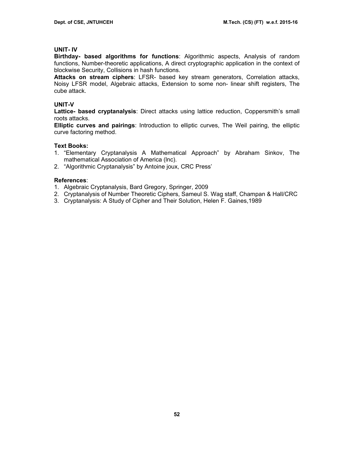# **UNIT- IV**

**Birthday- based algorithms for functions**: Algorithmic aspects, Analysis of random functions, Number-theoretic applications, A direct cryptographic application in the context of blockwise Security, Collisions in hash functions.

**Attacks on stream ciphers**: LFSR- based key stream generators, Correlation attacks, Noisy LFSR model, Algebraic attacks, Extension to some non- linear shift registers, The cube attack.

# **UNIT-V**

**Lattice- based cryptanalysis**: Direct attacks using lattice reduction, Coppersmith's small roots attacks.

**Elliptic curves and pairings**: Introduction to elliptic curves, The Weil pairing, the elliptic curve factoring method.

# **Text Books:**

- 1. "Elementary Cryptanalysis A Mathematical Approach" by Abraham Sinkov, The mathematical Association of America (lnc).
- 2. "Algorithmic Cryptanalysis" by Antoine joux, CRC Press'

# **References**:

- 1. Algebraic Cryptanalysis, Bard Gregory, Springer, 2009
- 2. Cryptanalysis of Number Theoretic Ciphers, Sameul S. Wag staff, Champan & Hall/CRC
- 3. Cryptanalysis: A Study of Cipher and Their Solution, Helen F. Gaines,1989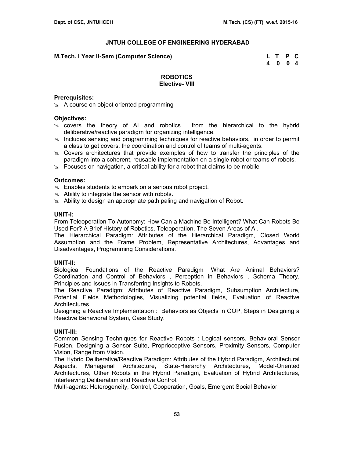#### **M.Tech. I Year II-Sem (Computer Science) L T P C**

 **4 0 0 4** 

### **ROBOTICS Elective- VIII**

#### **Prerequisites:**

 $\approx$  A course on object oriented programming

#### **Objectives:**

- $\infty$  covers the theory of AI and robotics from the hierarchical to the hybrid deliberative/reactive paradigm for organizing intelligence.
- $\ge$  Includes sensing and programming techniques for reactive behaviors, in order to permit a class to get covers, the coordination and control of teams of multi-agents.
- $\infty$  Covers architectures that provide exemples of how to transfer the principles of the paradigm into a coherent, reusable implementation on a single robot or teams of robots.
- $\infty$  Focuses on navigation, a critical ability for a robot that claims to be mobile

### **Outcomes:**

- $\infty$  Enables students to embark on a serious robot project.
- $\approx$  Ability to integrate the sensor with robots.
- s. Ability to design an appropriate path paling and navigation of Robot.

### **UNIT-I:**

From Teleoperation To Autonomy: How Can a Machine Be Intelligent? What Can Robots Be Used For? A Brief History of Robotics, Teleoperation, The Seven Areas of AI.

The Hierarchical Paradigm: Attributes of the Hierarchical Paradigm, Closed World Assumption and the Frame Problem, Representative Architectures, Advantages and Disadvantages, Programming Considerations.

#### **UNIT-II:**

Biological Foundations of the Reactive Paradigm :What Are Animal Behaviors? Coordination and Control of Behaviors , Perception in Behaviors , Schema Theory, Principles and Issues in Transferring Insights to Robots.

The Reactive Paradigm: Attributes of Reactive Paradigm, Subsumption Architecture, Potential Fields Methodologies, Visualizing potential fields, Evaluation of Reactive Architectures.

Designing a Reactive Implementation : Behaviors as Objects in OOP, Steps in Designing a Reactive Behavioral System, Case Study.

### **UNIT-III:**

Common Sensing Techniques for Reactive Robots : Logical sensors, Behavioral Sensor Fusion, Designing a Sensor Suite, Proprioceptive Sensors, Proximity Sensors, Computer Vision, Range from Vision.

The Hybrid Deliberative/Reactive Paradigm: Attributes of the Hybrid Paradigm, Architectural Aspects, Managerial Architecture, State-Hierarchy Architectures, Model-Oriented Architectures, Other Robots in the Hybrid Paradigm, Evaluation of Hybrid Architectures, Interleaving Deliberation and Reactive Control.

Multi-agents: Heterogeneity, Control, Cooperation, Goals, Emergent Social Behavior.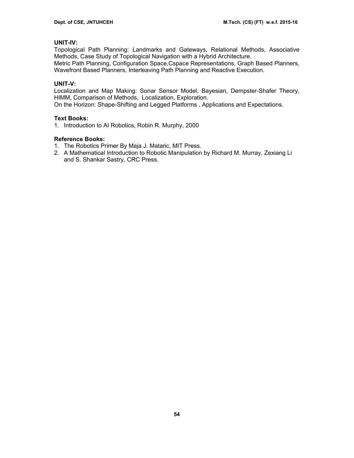# **UNIT-IV:**

Topological Path Planning: Landmarks and Gateways, Relational Methods, Associative Methods, Case Study of Topological Navigation with a Hybrid Architecture.

Metric Path Planning, Configuration Space,Cspace Representations, Graph Based Planners, Wavefront Based Planners, Interleaving Path Planning and Reactive Execution.

# **UNIT-V:**

Localization and Map Making: Sonar Sensor Model, Bayesian, Dempster-Shafer Theory, HIMM, Comparison of Methods, Localization, Exploration.

On the Horizon: Shape-Shifting and Legged Platforms , Applications and Expectations.

# **Text Books:**

1. Introduction to AI Robotics, Robin R. Murphy, 2000

# **Reference Books:**

- 1. The Robotics Primer By Maja J. Mataric, MIT Press.
- 2. A Mathematical Introduction to Robotic Manipulation by Richard M. Murray, Zexiang Li and S. Shankar Sastry, CRC Press.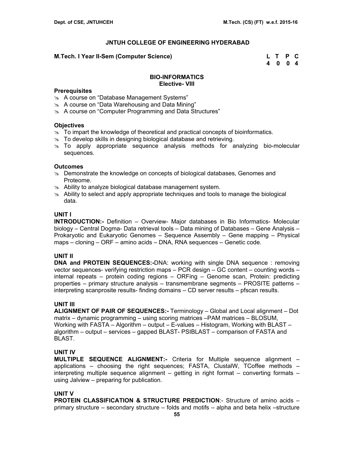### **M.Tech. I Year II-Sem (Computer Science) L T P C**

 **4 0 0 4** 

### **BIO-INFORMATICS Elective- VIII**

### **Prerequisites**

- im A course on "Database Management Systems"
- $\&$  A course on "Data Warehousing and Data Mining"
- $\approx$  A course on "Computer Programming and Data Structures"

### **Objectives**

- $\geq$  To impart the knowledge of theoretical and practical concepts of bioinformatics.
- $\approx$  To develop skills in designing biological database and retrieving.
- $\ge$  To apply appropriate sequence analysis methods for analyzing bio-molecular sequences.

### **Outcomes**

- **EXALU** Demonstrate the knowledge on concepts of biological databases, Genomes and Proteome.
- $\approx$  Ability to analyze biological database management system.
- $\geq$  Ability to select and apply appropriate techniques and tools to manage the biological data.

### **UNIT I**

**INTRODUCTION:-** Definition – Overview- Major databases in Bio Informatics- Molecular biology – Central Dogma- Data retrieval tools – Data mining of Databases – Gene Analysis – Prokaryotic and Eukaryotic Genomes – Sequence Assembly – Gene mapping – Physical maps – cloning – ORF – amino acids – DNA, RNA sequences – Genetic code.

# **UNIT II**

**DNA and PROTEIN SEQUENCES:-**DNA: working with single DNA sequence : removing vector sequences- verifying restriction maps – PCR design – GC content – counting words – internal repeats – protein coding regions – ORFing – Genome scan, Protein: predicting properties – primary structure analysis – transmembrane segments – PROSITE patterns – interpreting scanprosite results- finding domains – CD server results – pfscan results.

# **UNIT III**

**ALIGNMENT OF PAIR OF SEQUENCES:-** Terminology – Global and Local alignment – Dot matrix – dynamic programming – using scoring matrices –PAM matrices – BLOSUM, Working with FASTA – Algorithm – output – E-values – Histogram, Working with BLAST – algorithm – output – services – gapped BLAST- PSIBLAST – comparison of FASTA and BLAST.

# **UNIT IV**

**MULTIPLE SEQUENCE ALIGNMENT:-** Criteria for Multiple sequence alignment – applications – choosing the right sequences; FASTA, ClustalW, TCoffee methods – interpreting multiple sequence alignment – getting in right format – converting formats – using Jalview – preparing for publication.

# **UNIT V**

**PROTEIN CLASSIFICATION & STRUCTURE PREDICTION:**- Structure of amino acids primary structure – secondary structure – folds and motifs – alpha and beta helix –structure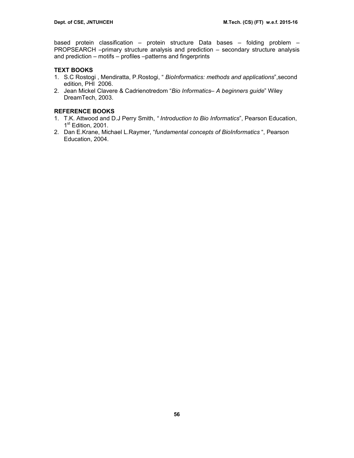based protein classification – protein structure Data bases – folding problem – PROPSEARCH –primary structure analysis and prediction – secondary structure analysis and prediction – motifs – profiles –patterns and fingerprints

# **TEXT BOOKS**

- 1. S.C Rostogi , Mendiratta, P.Rostogi, " *BioInformatics: methods and applications*",second edition, PHI 2006.
- 2. Jean Mickel Clavere & Cadrienotredom "*Bio Informatics– A beginners guide*" Wiley DreamTech, 2003.

# **REFERENCE BOOKS**

- 1. T.K. Attwood and D.J Perry Smith, *" Introduction to Bio Informatics*", Pearson Education, 1<sup>st</sup> Edition, 2001.
- 2. Dan E.Krane, Michael L.Raymer, "*fundamental concepts of BioInformatics* ", Pearson Education, 2004.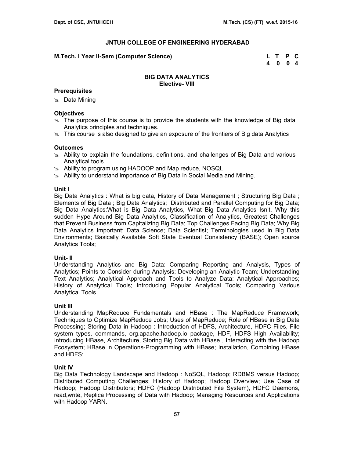### **M.Tech. I Year II-Sem (Computer Science) L T P C**

 **4 0 0 4** 

### **BIG DATA ANALYTICS Elective- VIII**

# **Prerequisites**

 $\approx$  Data Mining

# **Objectives**

- $\geq$  The purpose of this course is to provide the students with the knowledge of Big data Analytics principles and techniques.
- $\geq$  This course is also designed to give an exposure of the frontiers of Big data Analytics

### **Outcomes**

- $\geq$  Ability to explain the foundations, definitions, and challenges of Big Data and various Analytical tools.
- $\infty$  Ability to program using HADOOP and Map reduce, NOSQL
- $\approx$  Ability to understand importance of Big Data in Social Media and Mining.

### **Unit I**

Big Data Analytics : What is big data, History of Data Management ; Structuring Big Data ; Elements of Big Data ; Big Data Analytics; Distributed and Parallel Computing for Big Data; Big Data Analytics:What is Big Data Analytics, What Big Data Analytics Isn't, Why this sudden Hype Around Big Data Analytics, Classification of Analytics, Greatest Challenges that Prevent Business from Capitalizing Big Data; Top Challenges Facing Big Data; Why Big Data Analytics Important; Data Science; Data Scientist; Terminologies used in Big Data Environments; Basically Available Soft State Eventual Consistency (BASE); Open source Analytics Tools;

# **Unit- II**

Understanding Analytics and Big Data: Comparing Reporting and Analysis, Types of Analytics; Points to Consider during Analysis; Developing an Analytic Team; Understanding Text Analytics; Analytical Approach and Tools to Analyze Data: Analytical Approaches; History of Analytical Tools; Introducing Popular Analytical Tools; Comparing Various Analytical Tools.

# **Unit III**

Understanding MapReduce Fundamentals and HBase : The MapReduce Framework; Techniques to Optimize MapReduce Jobs; Uses of MapReduce; Role of HBase in Big Data Processing; Storing Data in Hadoop : Introduction of HDFS, Architecture, HDFC Files, File system types, commands, org.apache.hadoop.io package, HDF, HDFS High Availability; Introducing HBase, Architecture, Storing Big Data with HBase , Interacting with the Hadoop Ecosystem; HBase in Operations-Programming with HBase; Installation, Combining HBase and HDFS;

# **Unit IV**

Big Data Technology Landscape and Hadoop : NoSQL, Hadoop; RDBMS versus Hadoop; Distributed Computing Challenges; History of Hadoop; Hadoop Overview; Use Case of Hadoop; Hadoop Distributors; HDFC (Hadoop Distributed File System), HDFC Daemons, read,write, Replica Processing of Data with Hadoop; Managing Resources and Applications with Hadoop YARN.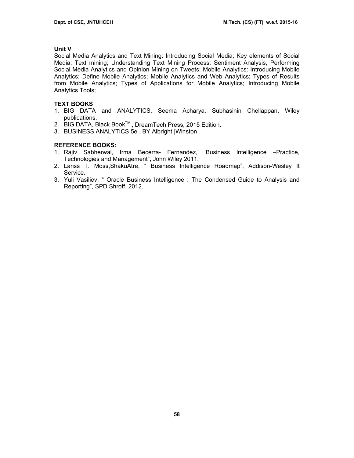# **Unit V**

Social Media Analytics and Text Mining: Introducing Social Media; Key elements of Social Media; Text mining; Understanding Text Mining Process; Sentiment Analysis, Performing Social Media Analytics and Opinion Mining on Tweets; Mobile Analytics: Introducing Mobile Analytics; Define Mobile Analytics; Mobile Analytics and Web Analytics; Types of Results from Mobile Analytics; Types of Applications for Mobile Analytics; Introducing Mobile Analytics Tools;

# **TEXT BOOKS**

- 1. BIG DATA and ANALYTICS, Seema Acharya, Subhasinin Chellappan, Wiley publications.
- 2. BIG DATA, Black Book™, DreamTech Press, 2015 Edition.
- 3. BUSINESS ANALYTICS 5e , BY Albright |Winston

# **REFERENCE BOOKS:**

- 1. Rajiv Sabherwal, Irma Becerra- Fernandez," Business Intelligence –Practice, Technologies and Management", John Wiley 2011.
- 2. Lariss T. Moss,ShakuAtre, " Business Intelligence Roadmap", Addison-Wesley It Service.
- 3. Yuli Vasiliev, " Oracle Business Intelligence : The Condensed Guide to Analysis and Reporting", SPD Shroff, 2012.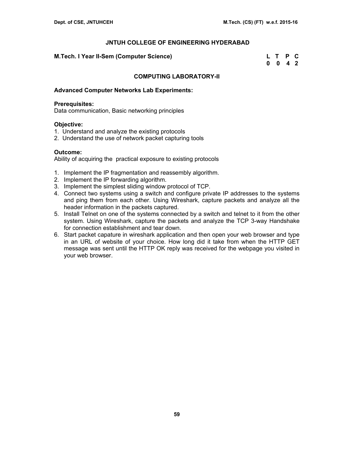#### **M.Tech. I Year II-Sem (Computer Science)**

| M.Tech. I Year II-Sem (Computer Science) | L T P C            |  |
|------------------------------------------|--------------------|--|
|                                          | $0 \t 0 \t 4 \t 2$ |  |

# **COMPUTING LABORATORY-II**

#### **Advanced Computer Networks Lab Experiments:**

#### **Prerequisites:**

Data communication, Basic networking principles

#### **Objective:**

- 1. Understand and analyze the existing protocols
- 2. Understand the use of network packet capturing tools

# **Outcome:**

Ability of acquiring the practical exposure to existing protocols

- 1. Implement the IP fragmentation and reassembly algorithm.
- 2. Implement the IP forwarding algorithm.
- 3. Implement the simplest sliding window protocol of TCP.
- 4. Connect two systems using a switch and configure private IP addresses to the systems and ping them from each other. Using Wireshark, capture packets and analyze all the header information in the packets captured.
- 5. Install Telnet on one of the systems connected by a switch and telnet to it from the other system. Using Wireshark, capture the packets and analyze the TCP 3-way Handshake for connection establishment and tear down.
- 6. Start packet capature in wireshark application and then open your web browser and type in an URL of website of your choice. How long did it take from when the HTTP GET message was sent until the HTTP OK reply was received for the webpage you visited in your web browser.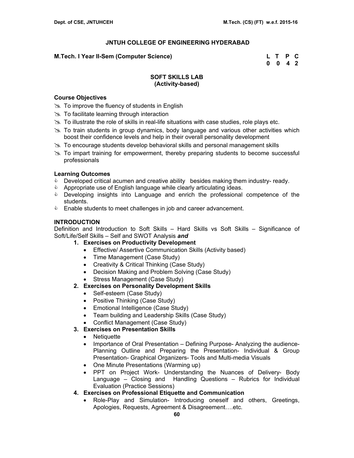# **M.Tech. I Year II-Sem (Computer Science)**

| M.Tech. I Year II-Sem (Computer Science) | L T P C            |  |
|------------------------------------------|--------------------|--|
|                                          | $0 \t 0 \t 4 \t 2$ |  |

# **SOFT SKILLS LAB (Activity-based)**

# **Course Objectives**

- $\gg$  To improve the fluency of students in English
- $\gg$  To facilitate learning through interaction
- $\gg$  To illustrate the role of skills in real-life situations with case studies, role plays etc.
- $\geq$  To train students in group dynamics, body language and various other activities which boost their confidence levels and help in their overall personality development
- $\geq$  To encourage students develop behavioral skills and personal management skills
- $\gg$  To impart training for empowerment, thereby preparing students to become successful professionals

# **Learning Outcomes**

- **Developed critical acumen and creative ability besides making them industry- ready.**
- & Appropriate use of English language while clearly articulating ideas.
- **EXE** Developing insights into Language and enrich the professional competence of the students.
- **Enable students to meet challenges in job and career advancement.**

# **INTRODUCTION**

Definition and Introduction to Soft Skills – Hard Skills vs Soft Skills – Significance of Soft/Life/Self Skills – Self and SWOT Analysis *and*

- **1. Exercises on Productivity Development** 
	- Effective/ Assertive Communication Skills (Activity based)
	- Time Management (Case Study)
	- Creativity & Critical Thinking (Case Study)
	- Decision Making and Problem Solving (Case Study)
	- Stress Management (Case Study)
- **2. Exercises on Personality Development Skills** 
	- Self-esteem (Case Study)
	- Positive Thinking (Case Study)
	- Emotional Intelligence (Case Study)
	- Team building and Leadership Skills (Case Study)
	- Conflict Management (Case Study)
- **3. Exercises on Presentation Skills** 
	- Netiquette
	- Importance of Oral Presentation Defining Purpose- Analyzing the audience-Planning Outline and Preparing the Presentation- Individual & Group Presentation- Graphical Organizers- Tools and Multi-media Visuals
	- One Minute Presentations (Warming up)
	- PPT on Project Work- Understanding the Nuances of Delivery- Body Language – Closing and Handling Questions – Rubrics for Individual Evaluation (Practice Sessions)
- **4. Exercises on Professional Etiquette and Communication** 
	- Role-Play and Simulation- Introducing oneself and others, Greetings, Apologies, Requests, Agreement & Disagreement….etc.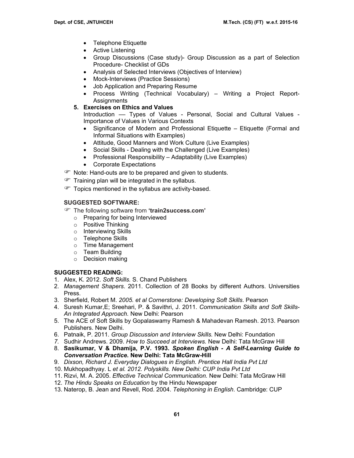- Telephone Etiquette
- Active Listening
- Group Discussions (Case study)- Group Discussion as a part of Selection Procedure- Checklist of GDs
- Analysis of Selected Interviews (Objectives of Interview)
- Mock-Interviews (Practice Sessions)
- Job Application and Preparing Resume
- Process Writing (Technical Vocabulary) Writing a Project Report-Assignments
- **5. Exercises on Ethics and Values**

Introduction –– Types of Values - Personal, Social and Cultural Values - Importance of Values in Various Contexts

- Significance of Modern and Professional Etiquette Etiquette (Formal and Informal Situations with Examples)
- Attitude, Good Manners and Work Culture (Live Examples)
- Social Skills Dealing with the Challenged (Live Examples)
- Professional Responsibility Adaptability (Live Examples)
- Corporate Expectations
- The Note: Hand-outs are to be prepared and given to students.
- $\mathcal{F}$  Training plan will be integrated in the syllabus.
- Topics mentioned in the syllabus are activity-based.

# **SUGGESTED SOFTWARE:**

- ) The following software from **'train2success.com'** 
	- o Preparing for being Interviewed
	- o Positive Thinking
	- o Interviewing Skills
	- o Telephone Skills
	- o Time Management
	- o Team Building
	- o Decision making

# **SUGGESTED READING:**

- 1. Alex, K. 2012. *Soft Skills.* S. Chand Publishers
- 2. *Management Shapers*. 2011. Collection of 28 Books by different Authors. Universities Press.
- 3. Sherfield, Robert M. *2005. et al Cornerstone: Developing Soft Skills*. Pearson
- 4. Suresh Kumar,E; Sreehari, P. & Savithri, J. 2011. *Communication Skills and Soft Skills-An Integrated Approach.* New Delhi: Pearson
- 5. The ACE of Soft Skills by Gopalaswamy Ramesh & Mahadevan Ramesh. 2013. Pearson Publishers. New Delhi.
- 6. Patnaik, P. 2011. *Group Discussion and Interview Skills.* New Delhi: Foundation
- *7.* Sudhir Andrews. 2009. *How to Succeed at Interviews.* New Delhi: Tata McGraw Hill
- 8. **Sasikumar, V & Dhamija, P.V. 1993.** *Spoken English A Self-Learning Guide to Conversation Practice.* **New Delhi: Tata McGraw-Hill**
- 9. *Dixson, Richard J. Everyday Dialogues in English. Prentice Hall India Pvt Ltd*
- 10. Mukhopadhyay. L *et al. 2012. Polyskills. New Delhi: CUP India Pvt Ltd*
- 11. Rizvi, M. A. 2005. *Effective Technical Communication.* New Delhi: Tata McGraw Hill
- 12. *The Hindu Speaks on Education* by the Hindu Newspaper
- 13. Naterop, B. Jean and Revell, Rod. 2004. *Telephoning in English*. Cambridge: CUP